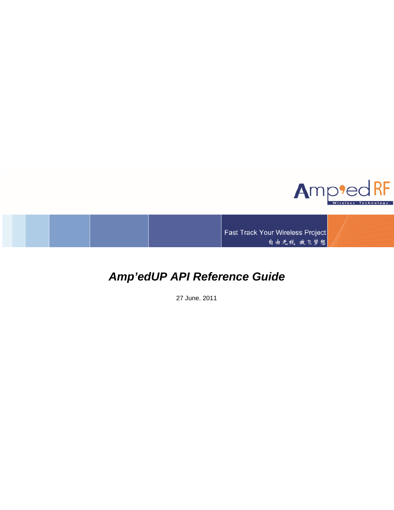

Fast Track Your Wireless Project 自由无线 放飞梦想

# *Amp'edUP API Reference Guide*

27 June, 2011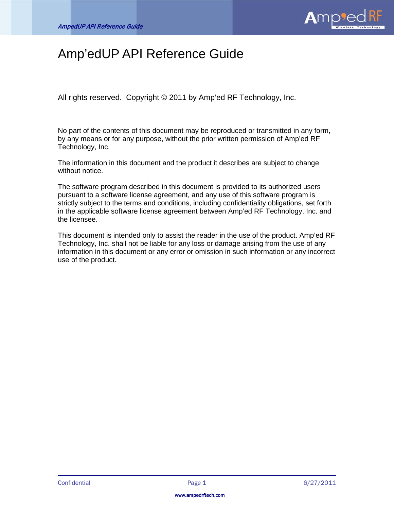

# Amp'edUP API Reference Guide

All rights reserved. Copyright © 2011 by Amp'ed RF Technology, Inc.

No part of the contents of this document may be reproduced or transmitted in any form, by any means or for any purpose, without the prior written permission of Amp'ed RF Technology, Inc.

The information in this document and the product it describes are subject to change without notice.

The software program described in this document is provided to its authorized users pursuant to a software license agreement, and any use of this software program is strictly subject to the terms and conditions, including confidentiality obligations, set forth in the applicable software license agreement between Amp'ed RF Technology, Inc. and the licensee.

This document is intended only to assist the reader in the use of the product. Amp'ed RF Technology, Inc. shall not be liable for any loss or damage arising from the use of any information in this document or any error or omission in such information or any incorrect use of the product.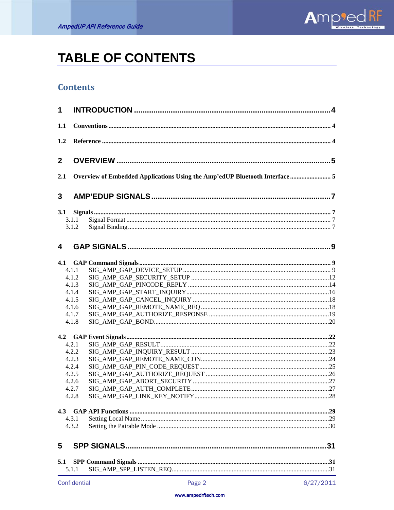

# **TABLE OF CONTENTS**

# **Contents**

| 1            |       |                                                                             |    |  |
|--------------|-------|-----------------------------------------------------------------------------|----|--|
| 1.1          |       |                                                                             |    |  |
| 1.2          |       |                                                                             |    |  |
| $\mathbf{2}$ |       |                                                                             |    |  |
| 2.1          |       | Overview of Embedded Applications Using the Amp'edUP Bluetooth Interface  5 |    |  |
| 3            |       |                                                                             |    |  |
|              |       |                                                                             |    |  |
|              | 3.1.1 |                                                                             |    |  |
|              | 3.1.2 |                                                                             |    |  |
| 4            |       |                                                                             |    |  |
| 4.1          |       |                                                                             |    |  |
|              | 4.1.1 |                                                                             |    |  |
|              | 4.1.2 |                                                                             |    |  |
|              | 4.1.3 |                                                                             |    |  |
|              | 4.1.4 |                                                                             |    |  |
|              | 4.1.5 |                                                                             |    |  |
|              | 4.1.6 |                                                                             |    |  |
|              | 4.1.7 |                                                                             |    |  |
|              | 4.1.8 |                                                                             |    |  |
|              |       |                                                                             |    |  |
|              | 4.2.1 |                                                                             |    |  |
|              | 4.2.2 |                                                                             |    |  |
|              | 4.2.3 |                                                                             |    |  |
|              | 4.2.4 |                                                                             |    |  |
|              | 4.2.5 |                                                                             |    |  |
|              | 4.2.6 |                                                                             |    |  |
|              | 4.2.7 |                                                                             |    |  |
|              | 4.2.8 |                                                                             |    |  |
| 4.3          |       |                                                                             |    |  |
|              | 4.3.1 |                                                                             |    |  |
|              | 4.3.2 |                                                                             |    |  |
| 5            |       |                                                                             | 31 |  |
| 5.1          |       |                                                                             |    |  |
|              | 5.1.1 |                                                                             |    |  |
|              |       |                                                                             |    |  |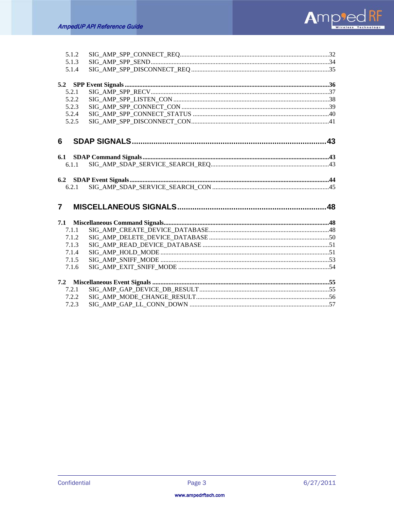

| 5.1.2          |  |
|----------------|--|
| 5.1.3          |  |
| 5.1.4          |  |
|                |  |
| 5.2.1          |  |
| 5.2.2          |  |
| 5.2.3          |  |
| 5.2.4          |  |
| 5.2.5          |  |
| 6              |  |
|                |  |
| 6.1.1          |  |
|                |  |
|                |  |
|                |  |
| 6.2.1          |  |
| $\overline{7}$ |  |
| 7.1            |  |
| 7.1.1          |  |
| 7.1.2          |  |
| 7.1.3          |  |
| 7.1.4          |  |
| 7.1.5          |  |
| 7.1.6          |  |
|                |  |
| 7.2.1          |  |
| 7.2.2          |  |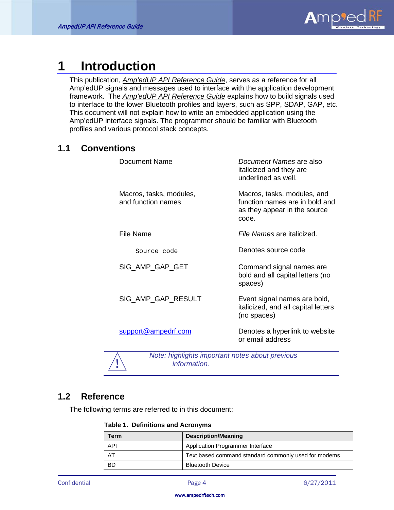

# <span id="page-4-0"></span>**1 Introduction**

This publication, *Amp'edUP API Reference Guide*, serves as a reference for all Amp'edUP signals and messages used to interface with the application development framework. The *Amp'edUP API Reference Guide* explains how to build signals used to interface to the lower Bluetooth profiles and layers, such as SPP, SDAP, GAP, etc. This document will not explain how to write an embedded application using the Amp'edUP interface signals. The programmer should be familiar with Bluetooth profiles and various protocol stack concepts.

# <span id="page-4-1"></span>**1.1 Conventions**

| Document Name                                 | Document Names are also<br>italicized and they are<br>underlined as well.                              |
|-----------------------------------------------|--------------------------------------------------------------------------------------------------------|
| Macros, tasks, modules,<br>and function names | Macros, tasks, modules, and<br>function names are in bold and<br>as they appear in the source<br>code. |
| File Name                                     | File Names are italicized.                                                                             |
| Source code                                   | Denotes source code                                                                                    |
| SIG AMP GAP GET                               | Command signal names are<br>bold and all capital letters (no<br>spaces)                                |
| SIG_AMP_GAP_RESULT                            | Event signal names are bold,<br>italicized, and all capital letters<br>(no spaces)                     |
| support@ampedrf.com                           | Denotes a hyperlink to website<br>or email address                                                     |



**!** *Note: highlights important notes about previous information.*

# <span id="page-4-2"></span>**1.2 Reference**

The following terms are referred to in this document:

|  | <b>Table 1. Definitions and Acronyms</b> |  |  |
|--|------------------------------------------|--|--|
|--|------------------------------------------|--|--|

| <b>Term</b> | <b>Description/Meaning</b>                           |
|-------------|------------------------------------------------------|
| API         | Application Programmer Interface                     |
| - AT        | Text based command standard commonly used for modems |
| -BD         | <b>Bluetooth Device</b>                              |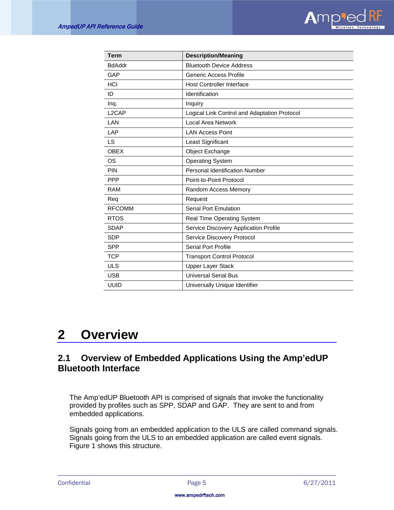

| Term               | <b>Description/Meaning</b>                   |
|--------------------|----------------------------------------------|
| <b>BdAddr</b>      | <b>Bluetooth Device Address</b>              |
| GAP                | Generic Access Profile                       |
| <b>HCI</b>         | <b>Host Controller Interface</b>             |
| ID                 | Identification                               |
| Inq.               | Inquiry                                      |
| L <sub>2</sub> CAP | Logical Link Control and Adaptation Protocol |
| LAN                | <b>Local Area Network</b>                    |
| LAP                | <b>LAN Access Point</b>                      |
| LS                 | Least Significant                            |
| <b>OBEX</b>        | Object Exchange                              |
| OS                 | <b>Operating System</b>                      |
| <b>PIN</b>         | Personal Identification Number               |
| <b>PPP</b>         | Point-to-Point Protocol                      |
| <b>RAM</b>         | Random Access Memory                         |
| Req                | Request                                      |
| <b>RFCOMM</b>      | <b>Serial Port Emulation</b>                 |
| <b>RTOS</b>        | <b>Real Time Operating System</b>            |
| <b>SDAP</b>        | Service Discovery Application Profile        |
| <b>SDP</b>         | Service Discovery Protocol                   |
| <b>SPP</b>         | Serial Port Profile                          |
| <b>TCP</b>         | <b>Transport Control Protocol</b>            |
| <b>ULS</b>         | <b>Upper Layer Stack</b>                     |
| <b>USB</b>         | <b>Universal Serial Bus</b>                  |
| <b>UUID</b>        | Universally Unique Identifier                |

# <span id="page-5-0"></span>**2 Overview**

# <span id="page-5-1"></span>**2.1 Overview of Embedded Applications Using the Amp'edUP Bluetooth Interface**

The Amp'edUP Bluetooth API is comprised of signals that invoke the functionality provided by profiles such as SPP, SDAP and GAP. They are sent to and from embedded applications.

Signals going from an embedded application to the ULS are called command signals. Signals going from the ULS to an embedded application are called event signals. Figure 1 shows this structure.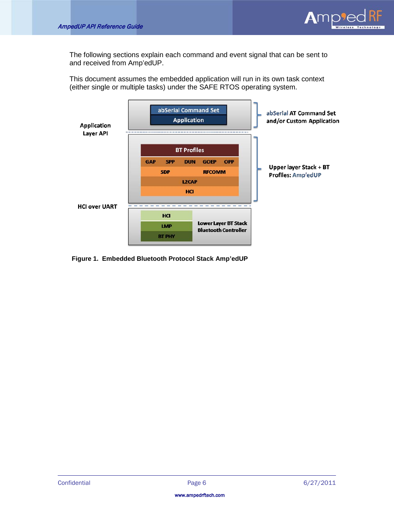

The following sections explain each command and event signal that can be sent to and received from Amp'edUP.

This document assumes the embedded application will run in its own task context (either single or multiple tasks) under the SAFE RTOS operating system.



**Figure 1. Embedded Bluetooth Protocol Stack Amp'edUP**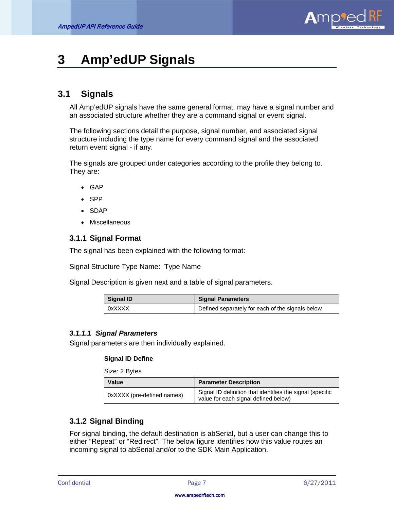

# <span id="page-7-0"></span>**3 Amp'edUP Signals**

# <span id="page-7-1"></span>**3.1 Signals**

All Amp'edUP signals have the same general format, may have a signal number and an associated structure whether they are a command signal or event signal.

The following sections detail the purpose, signal number, and associated signal structure including the type name for every command signal and the associated return event signal - if any.

The signals are grouped under categories according to the profile they belong to. They are:

- GAP
- SPP
- SDAP
- Miscellaneous

# <span id="page-7-2"></span>**3.1.1 Signal Format**

The signal has been explained with the following format:

Signal Structure Type Name: Type Name

Signal Description is given next and a table of signal parameters.

| Signal ID | <b>Signal Parameters</b>                         |
|-----------|--------------------------------------------------|
| 0xXXXX    | Defined separately for each of the signals below |

# *3.1.1.1 Signal Parameters*

Signal parameters are then individually explained.

#### **Signal ID Define**

Size: 2 Bytes

| Value                      | <b>Parameter Description</b>                                                                      |
|----------------------------|---------------------------------------------------------------------------------------------------|
| 0xXXXX (pre-defined names) | Signal ID definition that identifies the signal (specific<br>value for each signal defined below) |

# <span id="page-7-3"></span>**3.1.2 Signal Binding**

For signal binding, the default destination is abSerial, but a user can change this to either "Repeat" or "Redirect". The below figure identifies how this value routes an incoming signal to abSerial and/or to the SDK Main Application.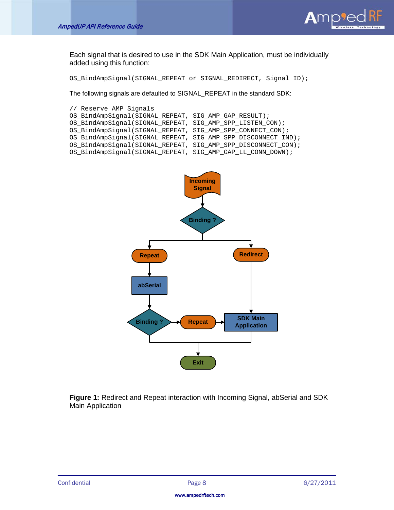

Each signal that is desired to use in the SDK Main Application, must be individually added using this function:

OS\_BindAmpSignal(SIGNAL\_REPEAT or SIGNAL\_REDIRECT, Signal ID);

The following signals are defaulted to SIGNAL\_REPEAT in the standard SDK:

```
// Reserve AMP Signals
OS_BindAmpSignal(SIGNAL_REPEAT, SIG_AMP_GAP_RESULT);
OS_BindAmpSignal(SIGNAL_REPEAT, SIG_AMP_SPP_LISTEN_CON);
OS_BindAmpSignal(SIGNAL_REPEAT, SIG_AMP_SPP_CONNECT_CON);
OS_BindAmpSignal(SIGNAL_REPEAT, SIG_AMP_SPP_DISCONNECT_IND);
OS_BindAmpSignal(SIGNAL_REPEAT, SIG_AMP_SPP_DISCONNECT_CON);
OS_BindAmpSignal(SIGNAL_REPEAT, SIG_AMP_GAP_LL_CONN_DOWN);
```


**Figure 1:** Redirect and Repeat interaction with Incoming Signal, abSerial and SDK Main Application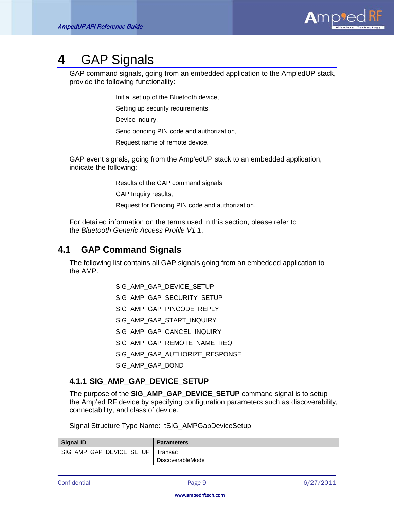

# <span id="page-9-0"></span>**4** GAP Signals

GAP command signals, going from an embedded application to the Amp'edUP stack, provide the following functionality:

Initial set up of the Bluetooth device,

Setting up security requirements,

Device inquiry,

Send bonding PIN code and authorization,

Request name of remote device.

GAP event signals, going from the Amp'edUP stack to an embedded application, indicate the following:

Results of the GAP command signals,

GAP Inquiry results,

Request for Bonding PIN code and authorization.

For detailed information on the terms used in this section, please refer to the *Bluetooth Generic Access Profile V1.1* .

# <span id="page-9-1"></span>**4.1 GAP Command Signals**

The following list contains all GAP signals going from an embedded application to the AMP.

SIG\_AMP\_GAP\_DEVICE\_SETUP

SIG\_AMP\_GAP\_SECURITY\_SETUP

SIG\_AMP\_GAP\_PINCODE\_REPLY

- SIG\_AMP\_GAP\_START\_INQUIRY
- SIG\_AMP\_GAP\_CANCEL\_INQUIRY

SIG\_AMP\_GAP\_REMOTE\_NAME\_REQ

SIG\_AMP\_GAP\_AUTHORIZE\_RESPONSE

SIG\_AMP\_GAP\_BOND

# <span id="page-9-2"></span>**4.1.1 SIG\_AMP\_GAP\_DEVICE\_SETUP**

The purpose of the **SIG\_AMP\_GAP\_DEVICE\_SETUP** command signal is to setup the Amp'ed RF device by specifying configuration parameters such as discoverability, connectability, and class of device.

Signal Structure Type Name: tSIG\_AMPGapDeviceSetup

| <b>Signal ID</b>         | <b>Parameters</b>       |
|--------------------------|-------------------------|
| SIG AMP GAP DEVICE SETUP | Transac                 |
|                          | <b>DiscoverableMode</b> |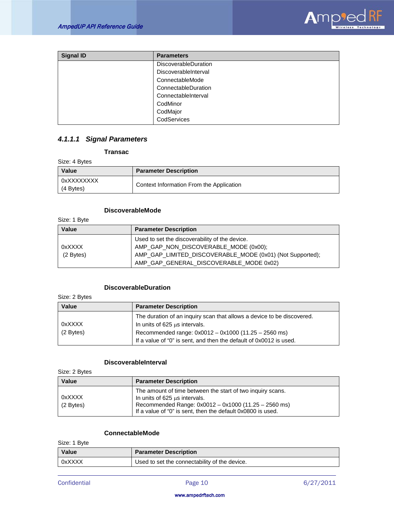

| <b>Signal ID</b> | <b>Parameters</b>           |
|------------------|-----------------------------|
|                  | <b>DiscoverableDuration</b> |
|                  | DiscoverableInterval        |
|                  | ConnectableMode             |
|                  | ConnectableDuration         |
|                  | ConnectableInterval         |
|                  | CodMinor                    |
|                  | CodMajor                    |
|                  | CodServices                 |

# *4.1.1.1 Signal Parameters*

**Transac**

Size: 4 Bytes

| <b>Value</b>            | <b>Parameter Description</b>             |
|-------------------------|------------------------------------------|
| 0xXXXXXXXX<br>(4 Bytes) | Context Information From the Application |

### **DiscoverableMode**

Size: 1 Byte

| <b>Value</b> | <b>Parameter Description</b>                              |
|--------------|-----------------------------------------------------------|
|              | Used to set the discoverability of the device.            |
| 0xXXXX       | AMP_GAP_NON_DISCOVERABLE_MODE (0x00);                     |
| (2 Bytes)    | AMP_GAP_LIMITED_DISCOVERABLE_MODE (0x01) (Not Supported); |
|              | AMP GAP GENERAL DISCOVERABLE MODE 0x02)                   |

### **DiscoverableDuration**

Size: 2 Bytes

| <b>Value</b> | <b>Parameter Description</b>                                           |
|--------------|------------------------------------------------------------------------|
|              | The duration of an inquiry scan that allows a device to be discovered. |
| 0xXXXX       | In units of 625 us intervals.                                          |
| (2 Bytes)    | Recommended range: 0x0012 - 0x1000 (11.25 - 2560 ms)                   |
|              | If a value of "0" is sent, and then the default of 0x0012 is used.     |

#### **DiscoverableInterval**

Size: 2 Bytes

| <b>Value</b>          | <b>Parameter Description</b>                                                                                                                                                                                            |
|-----------------------|-------------------------------------------------------------------------------------------------------------------------------------------------------------------------------------------------------------------------|
| 0xXXXX<br>$(2$ Bytes) | The amount of time between the start of two inquiry scans.<br>In units of $625 \mu s$ intervals.<br>Recommended Range: 0x0012 - 0x1000 (11.25 - 2560 ms)<br>If a value of "0" is sent, then the default 0x0800 is used. |

## **ConnectableMode**

| Size: 1 Byte |                                               |
|--------------|-----------------------------------------------|
| <b>Value</b> | <b>Parameter Description</b>                  |
| 0xXXXX       | Used to set the connectability of the device. |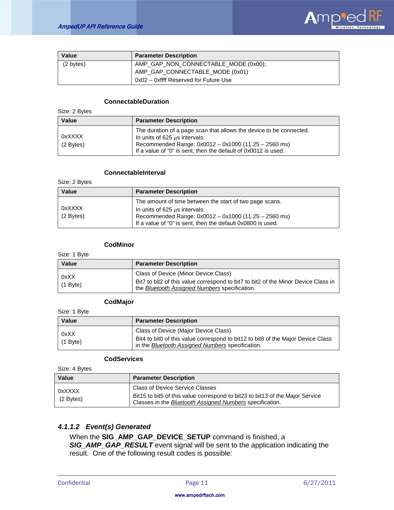

| Value     | <b>Parameter Description</b>          |
|-----------|---------------------------------------|
| (2 bytes) | AMP_GAP_NON_CONNECTABLE_MODE (0x00);  |
|           | AMP GAP CONNECTABLE MODE (0x01)       |
|           | 0x02 - 0xffff Reserved for Future Use |

#### **ConnectableDuration**

| Size: 2 Bytes         |                                                                                                                                                                                                                                     |
|-----------------------|-------------------------------------------------------------------------------------------------------------------------------------------------------------------------------------------------------------------------------------|
| Value                 | <b>Parameter Description</b>                                                                                                                                                                                                        |
| 0xXXXX<br>$(2$ Bytes) | The duration of a page scan that allows the device to be connected.<br>In units of $625 \mu s$ intervals.<br>Recommended Range: 0x0012 - 0x1000 (11.25 - 2560 ms)<br>If a value of "0" is sent, then the default of 0x0012 is used. |

#### **ConnectableInterval**

Size: 2 Bytes

| Value               | <b>Parameter Description</b>                                                                                                                         |
|---------------------|------------------------------------------------------------------------------------------------------------------------------------------------------|
|                     | The amount of time between the start of two page scans.                                                                                              |
| 0xXXXX<br>(2 Bytes) | In units of 625 us intervals.<br>Recommended Range: 0x0012 - 0x1000 (11.25 - 2560 ms)<br>If a value of "0" is sent, then the default 0x0800 is used. |

### **CodMinor**

Size: 1 Byte

| <b>Value</b>       | <b>Parameter Description</b>                                                                                                                                                |
|--------------------|-----------------------------------------------------------------------------------------------------------------------------------------------------------------------------|
| 0xXX<br>$(1$ Byte) | Class of Device (Minor Device Class)<br>Bit7 to bit2 of this value correspond to bit7 to bit2 of the Minor Device Class in<br>the Bluetooth Assigned Numbers specification. |

#### **CodMajor**

Size: 1 Byte

| Value                    | <b>Parameter Description</b>                                                                                                                                                 |
|--------------------------|------------------------------------------------------------------------------------------------------------------------------------------------------------------------------|
| 0xXX<br>$\vert$ (1 Byte) | Class of Device (Major Device Class)<br>Bit4 to bit0 of this value correspond to bit12 to bit8 of the Major Device Class<br>in the Bluetooth Assigned Numbers specification. |

#### **CodServices**

Size: 4 Bytes

| Value                 | <b>Parameter Description</b>                                                                                                                                                 |
|-----------------------|------------------------------------------------------------------------------------------------------------------------------------------------------------------------------|
| 0xXXXX<br>$(2$ Bytes) | Class of Device Service Classes<br>Bit15 to bit5 of this value correspond to bit23 to bit13 of the Major Service<br>Classes in the Bluetooth Assigned Numbers specification. |

## *4.1.1.2 Event(s) Generated*

When the **SIG\_AMP\_GAP\_DEVICE\_SETUP** command is finished, a *SIG\_AMP\_GAP\_RESULT* event signal will be sent to the application indicating the result. One of the following result codes is possible: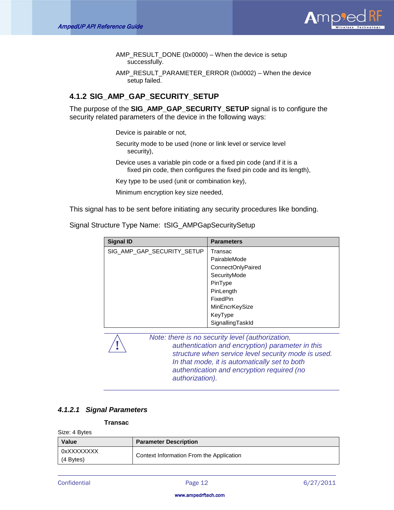

AMP\_RESULT\_DONE (0x0000) – When the device is setup successfully.

AMP\_RESULT\_PARAMETER\_ERROR (0x0002) – When the device setup failed.

# <span id="page-12-0"></span>**4.1.2 SIG\_AMP\_GAP\_SECURITY\_SETUP**

The purpose of the **SIG\_AMP\_GAP\_SECURITY\_SETUP** signal is to configure the security related parameters of the device in the following ways:

Device is pairable or not,

- Security mode to be used (none or link level or service level security),
- Device uses a variable pin code or a fixed pin code (and if it is a fixed pin code, then configures the fixed pin code and its length),

Key type to be used (unit or combination key),

Minimum encryption key size needed,

This signal has to be sent before initiating any security procedures like bonding.

Signal Structure Type Name: tSIG\_AMPGapSecuritySetup

| <b>Signal ID</b>           | <b>Parameters</b> |
|----------------------------|-------------------|
| SIG_AMP_GAP_SECURITY_SETUP | Transac           |
|                            | PairableMode      |
|                            | ConnectOnlyPaired |
|                            | SecurityMode      |
|                            | PinType           |
|                            | PinLength         |
|                            | FixedPin          |
|                            | MinEncrKeySize    |
|                            | KeyType           |
|                            | SignallingTaskId  |



**!** *Note: there is no security level (authorization, authentication and encryption) parameter in this structure when service level security mode is used. In that mode, it is automatically set to both authentication and encryption required (no authorization).*

## *4.1.2.1 Signal Parameters*

#### **Transac**

Size: 4 Bytes

| <b>Value</b>              | <b>Parameter Description</b>             |
|---------------------------|------------------------------------------|
| 0xXXXXXXXX<br>$(4$ Bytes) | Context Information From the Application |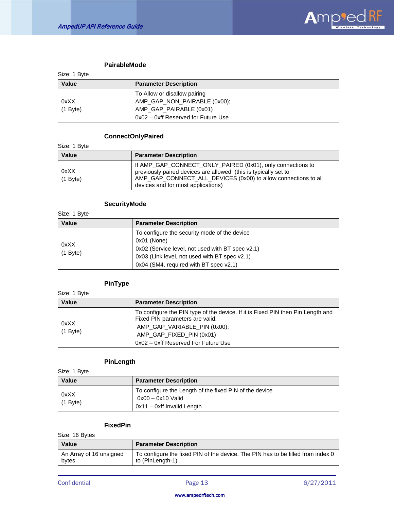

# **PairableMode**

| Size: 1 Byte |                                     |
|--------------|-------------------------------------|
| <b>Value</b> | <b>Parameter Description</b>        |
|              | To Allow or disallow pairing        |
| 0xXX         | AMP_GAP_NON_PAIRABLE (0x00);        |
| $(1$ Byte)   | AMP GAP PAIRABLE (0x01)             |
|              | 0x02 - 0xff Reserved for Future Use |

### **ConnectOnlyPaired**

Size: 1 Byte

| <b>Value</b>       | <b>Parameter Description</b>                                                                                                                                                                                                          |
|--------------------|---------------------------------------------------------------------------------------------------------------------------------------------------------------------------------------------------------------------------------------|
| 0xXX<br>$(1$ Byte) | If AMP_GAP_CONNECT_ONLY_PAIRED (0x01), only connections to<br>previously paired devices are allowed (this is typically set to<br>AMP_GAP_CONNECT_ALL_DEVICES (0x00) to allow connections to all<br>devices and for most applications) |

# **SecurityMode**

| Size: 1 Byte       |                                                                                                                                                                                                            |
|--------------------|------------------------------------------------------------------------------------------------------------------------------------------------------------------------------------------------------------|
| Value              | <b>Parameter Description</b>                                                                                                                                                                               |
| 0xXX<br>$(1$ Byte) | To configure the security mode of the device<br>0x01 (None)<br>0x02 (Service level, not used with BT spec v2.1)<br>0x03 (Link level, not used with BT spec v2.1)<br>0x04 (SM4, required with BT spec v2.1) |

# **PinType**

| Size: 1 Byte       |                                                                                                                                                                                                                       |
|--------------------|-----------------------------------------------------------------------------------------------------------------------------------------------------------------------------------------------------------------------|
| <b>Value</b>       | <b>Parameter Description</b>                                                                                                                                                                                          |
| 0xXX<br>$(1$ Byte) | To configure the PIN type of the device. If it is Fixed PIN then Pin Length and<br>Fixed PIN parameters are valid.<br>AMP_GAP_VARIABLE_PIN (0x00);<br>AMP_GAP_FIXED_PIN (0x01)<br>0x02 - 0xff Reserved For Future Use |

# **PinLength**

Size: 1 Byte

| <b>Value</b>       | <b>Parameter Description</b>                                                                                |
|--------------------|-------------------------------------------------------------------------------------------------------------|
| 0xXX<br>$(1$ Byte) | To configure the Length of the fixed PIN of the device<br>0x00 - 0x10 Valid<br>$0x11 - 0xff$ Invalid Length |

# **FixedPin**

Size: 16 Bytes

| Value                   | <b>Parameter Description</b>                                                    |
|-------------------------|---------------------------------------------------------------------------------|
| An Array of 16 unsigned | To configure the fixed PIN of the device. The PIN has to be filled from index 0 |
| bytes                   | to (PinLength-1)                                                                |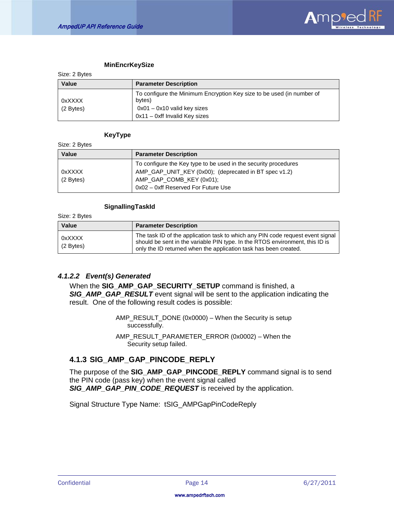

#### **MinEncrKeySize**

| <b>OILE.</b> <i>L</i> DYIES |                                                                                 |
|-----------------------------|---------------------------------------------------------------------------------|
| Value                       | <b>Parameter Description</b>                                                    |
| 0xXXXX                      | To configure the Minimum Encryption Key size to be used (in number of<br>bytes) |
| $(2$ Bytes)                 | $0x01 - 0x10$ valid key sizes                                                   |
|                             | $0x11 - 0xff$ Invalid Key sizes                                                 |

#### **KeyType**

Size: 2 Bytes

 $C<sub>2</sub> = 2$  Bytes

| Value       | <b>Parameter Description</b>                                    |
|-------------|-----------------------------------------------------------------|
|             | To configure the Key type to be used in the security procedures |
| 0xXXXX      | AMP_GAP_UNIT_KEY (0x00); (deprecated in BT spec v1.2)           |
| $(2$ Bytes) | AMP_GAP_COMB_KEY (0x01);                                        |
|             | 0x02 - 0xff Reserved For Future Use                             |

#### **SignallingTaskId**

Size: 2 Bytes

| Value               | <b>Parameter Description</b>                                                                                                                                                                                                       |
|---------------------|------------------------------------------------------------------------------------------------------------------------------------------------------------------------------------------------------------------------------------|
| 0xXXXX<br>(2 Bytes) | The task ID of the application task to which any PIN code request event signal<br>should be sent in the variable PIN type. In the RTOS environment, this ID is<br>only the ID returned when the application task has been created. |

### *4.1.2.2 Event(s) Generated*

When the **SIG\_AMP\_GAP\_SECURITY\_SETUP** command is finished, a *SIG\_AMP\_GAP\_RESULT* event signal will be sent to the application indicating the result. One of the following result codes is possible:

> AMP\_RESULT\_DONE (0x0000) – When the Security is setup successfully.

> AMP\_RESULT\_PARAMETER\_ERROR (0x0002) – When the Security setup failed.

# <span id="page-14-0"></span>**4.1.3 SIG\_AMP\_GAP\_PINCODE\_REPLY**

The purpose of the **SIG\_AMP\_GAP\_PINCODE\_REPLY** command signal is to send the PIN code (pass key) when the event signal called *SIG\_AMP\_GAP\_PIN\_CODE\_REQUEST* is received by the application.

Signal Structure Type Name: tSIG\_AMPGapPinCodeReply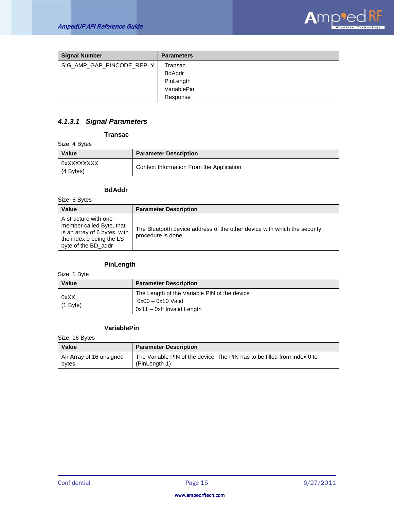

| <b>Signal Number</b>      | <b>Parameters</b> |
|---------------------------|-------------------|
| SIG_AMP_GAP_PINCODE_REPLY | Transac           |
|                           | <b>BdAddr</b>     |
|                           | PinLength         |
|                           | VariablePin       |
|                           | Response          |

# *4.1.3.1 Signal Parameters*

#### **Transac**

Size: 4 Bytes

| <b>Value</b>            | <b>Parameter Description</b>             |
|-------------------------|------------------------------------------|
| 0xXXXXXXXX<br>(4 Bytes) | Context Information From the Application |

# **BdAddr**

Size: 6 Bytes

| Value                                                                                                                               | <b>Parameter Description</b>                                                                   |
|-------------------------------------------------------------------------------------------------------------------------------------|------------------------------------------------------------------------------------------------|
| A structure with one<br>member called Byte, that<br>is an array of 6 bytes, with<br>the index 0 being the LS<br>byte of the BD addr | The Bluetooth device address of the other device with which the security<br>procedure is done. |

# **PinLength**

Size: 1 Byte

| <b>Value</b>       | <b>Parameter Description</b>                                                                      |
|--------------------|---------------------------------------------------------------------------------------------------|
| 0xXX<br>$(1$ Byte) | The Length of the Variable PIN of the device<br>0x00 – 0x10 Valid<br>$0x11 - 0xff$ Invalid Length |

# **VariablePin**

Size: 16 Bytes

| Value                   | <b>Parameter Description</b>                                             |
|-------------------------|--------------------------------------------------------------------------|
| An Array of 16 unsigned | The Variable PIN of the device. The PIN has to be filled from index 0 to |
| bytes                   | (PinLength-1)                                                            |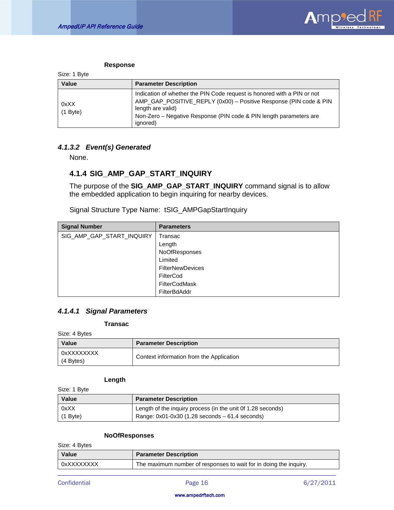

#### **Response**

| Size: 1 Byte       |                                                                                                                                                                                                                                                     |
|--------------------|-----------------------------------------------------------------------------------------------------------------------------------------------------------------------------------------------------------------------------------------------------|
| Value              | <b>Parameter Description</b>                                                                                                                                                                                                                        |
| 0xXX<br>$(1$ Byte) | Indication of whether the PIN Code request is honored with a PIN or not<br>AMP_GAP_POSITIVE_REPLY (0x00) - Positive Response (PIN code & PIN<br>length are valid)<br>Non-Zero – Negative Response (PIN code & PIN length parameters are<br>ignored) |

# *4.1.3.2 Event(s) Generated*

None.

# <span id="page-16-0"></span>**4.1.4 SIG\_AMP\_GAP\_START\_INQUIRY**

The purpose of the **SIG\_AMP\_GAP\_START\_INQUIRY** command signal is to allow the embedded application to begin inquiring for nearby devices.

Signal Structure Type Name: tSIG\_AMPGapStartInquiry

| <b>Signal Number</b>      | <b>Parameters</b>       |
|---------------------------|-------------------------|
| SIG_AMP_GAP_START_INQUIRY | Transac                 |
|                           | Length                  |
|                           | NoOfResponses           |
|                           | Limited                 |
|                           | <b>FilterNewDevices</b> |
|                           | FilterCod               |
|                           | FilterCodMask           |
|                           | <b>FilterBdAddr</b>     |

# *4.1.4.1 Signal Parameters*

#### **Transac**

Size: 4 Bytes

| <b>Value</b>            | <b>Parameter Description</b>             |
|-------------------------|------------------------------------------|
| 0xXXXXXXXX<br>(4 Bytes) | Context information from the Application |

# **Length**

| Size: 1 Byte |                                                             |
|--------------|-------------------------------------------------------------|
| Value        | <b>Parameter Description</b>                                |
| 0xXX         | Length of the inquiry process (in the unit 0f 1.28 seconds) |
| $(1$ Byte)   | Range: $0x01-0x30$ (1.28 seconds $-61.4$ seconds)           |

# **NoOfResponses**

Size: 4 Bytes

| <b>Value</b> | <b>Parameter Description</b>                                      |
|--------------|-------------------------------------------------------------------|
| 0xXXXXXXXX   | The maximum number of responses to wait for in doing the inquiry. |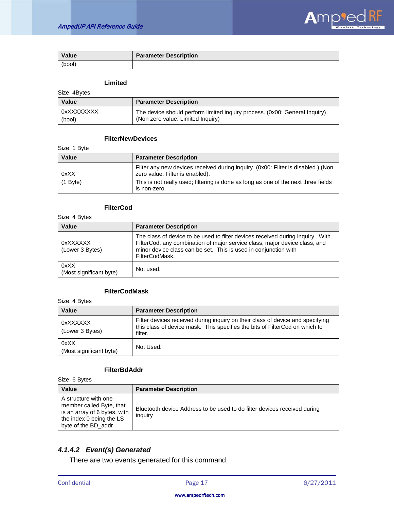

| Value  | <b>Parameter Description</b> |
|--------|------------------------------|
| (bool) |                              |

# **Limited**

Size: 4Bytes

| Value      | <b>Parameter Description</b>                                               |
|------------|----------------------------------------------------------------------------|
| 0xXXXXXXXX | The device should perform limited inquiry process. (0x00: General Inquiry) |
| (bool)     | (Non zero value: Limited Inquiry)                                          |

# **FilterNewDevices**

Size: 1 Byte

| <b>Value</b> | <b>Parameter Description</b>                                                                                        |
|--------------|---------------------------------------------------------------------------------------------------------------------|
| 0xXX         | Filter any new devices received during inquiry. (0x00: Filter is disabled.) (Non<br>zero value: Filter is enabled). |
| $(1$ Byte)   | This is not really used; filtering is done as long as one of the next three fields<br>is non-zero.                  |

### **FilterCod**

Size: 4 Bytes

| Value                           | <b>Parameter Description</b>                                                                                                                                                                                                                      |
|---------------------------------|---------------------------------------------------------------------------------------------------------------------------------------------------------------------------------------------------------------------------------------------------|
| 0xXXXXXX<br>(Lower 3 Bytes)     | The class of device to be used to filter devices received during inquiry. With<br>FilterCod, any combination of major service class, major device class, and<br>minor device class can be set. This is used in conjunction with<br>FilterCodMask. |
| 0xXX<br>(Most significant byte) | Not used.                                                                                                                                                                                                                                         |

# **FilterCodMask**

Size: 4 Bytes

| Value                           | <b>Parameter Description</b>                                                                                                                                             |
|---------------------------------|--------------------------------------------------------------------------------------------------------------------------------------------------------------------------|
| 0xXXXXXX<br>(Lower 3 Bytes)     | Filter devices received during inquiry on their class of device and specifying<br>this class of device mask. This specifies the bits of FilterCod on which to<br>filter. |
| 0xXX<br>(Most significant byte) | Not Used.                                                                                                                                                                |

# **FilterBdAddr**

Size: 6 Bytes

| <b>Value</b>                                                                                                                        | <b>Parameter Description</b>                                                        |
|-------------------------------------------------------------------------------------------------------------------------------------|-------------------------------------------------------------------------------------|
| A structure with one<br>member called Byte, that<br>is an array of 6 bytes, with<br>the index 0 being the LS<br>byte of the BD addr | Bluetooth device Address to be used to do filter devices received during<br>inquiry |

# *4.1.4.2 Event(s) Generated*

There are two events generated for this command.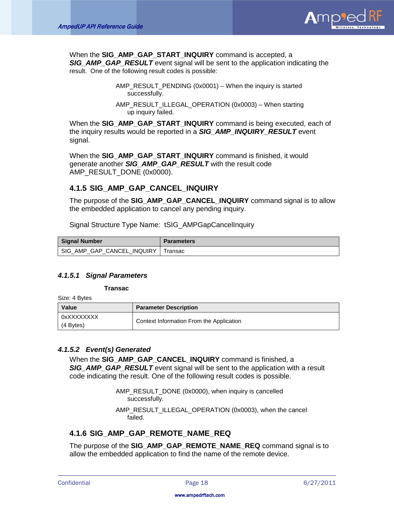

When the **SIG\_AMP\_GAP\_START\_INQUIRY** command is accepted, a *SIG\_AMP\_GAP\_RESULT* event signal will be sent to the application indicating the result. One of the following result codes is possible:

> AMP\_RESULT\_PENDING (0x0001) – When the inquiry is started successfully.

> AMP\_RESULT\_ILLEGAL\_OPERATION (0x0003) – When starting up inquiry failed.

When the **SIG\_AMP\_GAP\_START\_INQUIRY** command is being executed, each of the inquiry results would be reported in a *SIG\_AMP\_INQUIRY\_RESULT* event signal.

When the **SIG\_AMP\_GAP\_START\_INQUIRY** command is finished, it would generate another *SIG\_AMP\_GAP\_RESULT* with the result code AMP\_RESULT\_DONE (0x0000).

# <span id="page-18-0"></span>**4.1.5 SIG\_AMP\_GAP\_CANCEL\_INQUIRY**

The purpose of the **SIG\_AMP\_GAP\_CANCEL\_INQUIRY** command signal is to allow the embedded application to cancel any pending inquiry.

Signal Structure Type Name: tSIG\_AMPGapCancelInquiry

| Signal Number              | <b>Parameters</b> |
|----------------------------|-------------------|
| SIG AMP GAP CANCEL INQUIRY | Transac           |

## *4.1.5.1 Signal Parameters*

**Transac**

Size: 4 Bytes

| <b>Value</b>            | <b>Parameter Description</b>             |
|-------------------------|------------------------------------------|
| 0xXXXXXXXX<br>(4 Bytes) | Context Information From the Application |

# *4.1.5.2 Event(s) Generated*

When the **SIG\_AMP\_GAP\_CANCEL\_INQUIRY** command is finished, a **SIG\_AMP\_GAP\_RESULT** event signal will be sent to the application with a result code indicating the result. One of the following result codes is possible.

> AMP\_RESULT\_DONE (0x0000), when inquiry is cancelled successfully.

AMP\_RESULT\_ILLEGAL\_OPERATION (0x0003), when the cancel failed.

# <span id="page-18-1"></span>**4.1.6 SIG\_AMP\_GAP\_REMOTE\_NAME\_REQ**

The purpose of the **SIG\_AMP\_GAP\_REMOTE\_NAME\_REQ** command signal is to allow the embedded application to find the name of the remote device.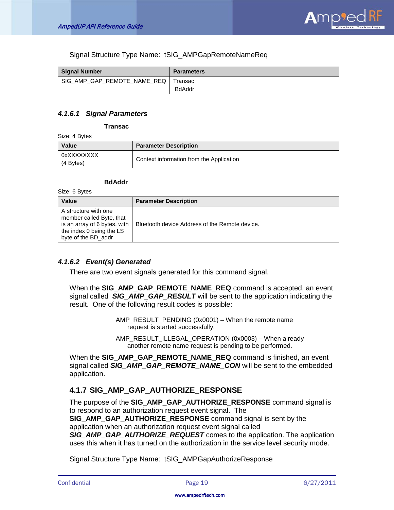

Signal Structure Type Name: tSIG\_AMPGapRemoteNameReq

| Signal Number                         | <b>Parameters</b> |
|---------------------------------------|-------------------|
| SIG AMP GAP REMOTE NAME REQ   Transac |                   |
|                                       | <b>BdAddr</b>     |

# *4.1.6.1 Signal Parameters*

**Transac**

Size: 4 Bytes

| Value                     | <b>Parameter Description</b>             |
|---------------------------|------------------------------------------|
| 0xXXXXXXXX<br>$(4$ Bytes) | Context information from the Application |

#### **BdAddr**

Size: 6 Bytes

| <b>Value</b>                                                                                                                        | <b>Parameter Description</b>                   |
|-------------------------------------------------------------------------------------------------------------------------------------|------------------------------------------------|
| A structure with one<br>member called Byte, that<br>is an array of 6 bytes, with<br>the index 0 being the LS<br>byte of the BD addr | Bluetooth device Address of the Remote device. |

## *4.1.6.2 Event(s) Generated*

There are two event signals generated for this command signal.

When the **SIG\_AMP\_GAP\_REMOTE\_NAME\_REQ** command is accepted, an event signal called *SIG\_AMP\_GAP\_RESULT* will be sent to the application indicating the result. One of the following result codes is possible:

> AMP\_RESULT\_PENDING (0x0001) – When the remote name request is started successfully.

AMP\_RESULT\_ILLEGAL\_OPERATION (0x0003) – When already another remote name request is pending to be performed.

When the **SIG\_AMP\_GAP\_REMOTE\_NAME\_REQ** command is finished, an event signal called *SIG\_AMP\_GAP\_REMOTE\_NAME\_CON* will be sent to the embedded application.

# <span id="page-19-0"></span>**4.1.7 SIG\_AMP\_GAP\_AUTHORIZE\_RESPONSE**

The purpose of the **SIG\_AMP\_GAP\_AUTHORIZE\_RESPONSE** command signal is to respond to an authorization request event signal. The **SIG\_AMP\_GAP\_AUTHORIZE\_RESPONSE** command signal is sent by the application when an authorization request event signal called

*SIG\_AMP\_GAP\_AUTHORIZE\_REQUEST* comes to the application. The application uses this when it has turned on the authorization in the service level security mode.

Signal Structure Type Name: tSIG\_AMPGapAuthorizeResponse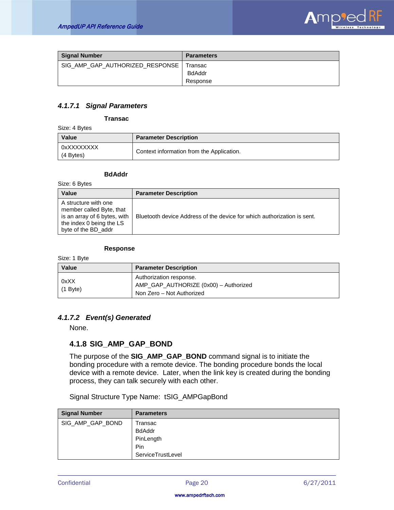

| <b>Signal Number</b>            | <b>Parameters</b>        |
|---------------------------------|--------------------------|
| SIG AMP GAP AUTHORIZED RESPONSE | Transac<br><b>BdAddr</b> |
|                                 | Response                 |

# *4.1.7.1 Signal Parameters*

#### **Transac**

Size: 4 Bytes

| Value                   | <b>Parameter Description</b>              |
|-------------------------|-------------------------------------------|
| 0xXXXXXXXX<br>(4 Bytes) | Context information from the Application. |

#### **BdAddr**

Size: 6 Bytes

| Value                                                                                                                               | <b>Parameter Description</b>                                            |
|-------------------------------------------------------------------------------------------------------------------------------------|-------------------------------------------------------------------------|
| A structure with one<br>member called Byte, that<br>is an array of 6 bytes, with<br>the index 0 being the LS<br>byte of the BD addr | Bluetooth device Address of the device for which authorization is sent. |

#### **Response**

Size: 1 Byte

| Value              | <b>Parameter Description</b>                                                                  |
|--------------------|-----------------------------------------------------------------------------------------------|
| 0xXX<br>$(1$ Byte) | Authorization response.<br>AMP_GAP_AUTHORIZE (0x00) - Authorized<br>Non Zero - Not Authorized |

# *4.1.7.2 Event(s) Generated*

None.

## <span id="page-20-0"></span>**4.1.8 SIG\_AMP\_GAP\_BOND**

The purpose of the **SIG\_AMP\_GAP\_BOND** command signal is to initiate the bonding procedure with a remote device. The bonding procedure bonds the local device with a remote device. Later, when the link key is created during the bonding process, they can talk securely with each other.

Signal Structure Type Name: tSIG\_AMPGapBond

| <b>Signal Number</b> | <b>Parameters</b> |
|----------------------|-------------------|
| SIG_AMP_GAP_BOND     | Transac           |
|                      | <b>BdAddr</b>     |
|                      | PinLength         |
|                      | <b>Pin</b>        |
|                      | ServiceTrustLevel |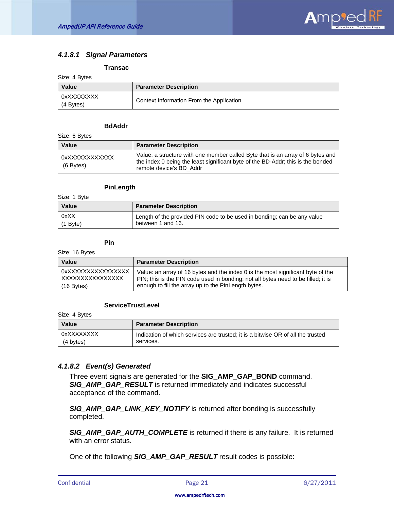

# *4.1.8.1 Signal Parameters*

#### **Transac**

| Size: 4 Bytes |  |
|---------------|--|
|---------------|--|

| Value                   | <b>Parameter Description</b>             |
|-------------------------|------------------------------------------|
| 0xXXXXXXXX<br>(4 Bytes) | Context Information From the Application |

#### **BdAddr**

Size: 6 Bytes

| Value                       | <b>Parameter Description</b>                                                                                                                                                                 |
|-----------------------------|----------------------------------------------------------------------------------------------------------------------------------------------------------------------------------------------|
| 0xXXXXXXXXXXXX<br>(6 Bytes) | Value: a structure with one member called Byte that is an array of 6 bytes and<br>the index 0 being the least significant byte of the BD-Addr; this is the bonded<br>remote device's BD Addr |

#### **PinLength**

Size: 1 Byte

| <b>Value</b> | <b>Parameter Description</b>                                            |
|--------------|-------------------------------------------------------------------------|
| 0xXX         | Length of the provided PIN code to be used in bonding; can be any value |
| $(1$ Byte)   | between 1 and 16.                                                       |

#### **Pin**

Size: 16 Bytes

| <b>Value</b>       | <b>Parameter Description</b>                                                      |
|--------------------|-----------------------------------------------------------------------------------|
| OxXXXXXXXXXXXXXXXX | Value: an array of 16 bytes and the index 0 is the most significant byte of the   |
| XXXXXXXXXXXXXXXX   | PIN; this is the PIN code used in bonding; not all bytes need to be filled; it is |
| $(16$ Bytes)       | enough to fill the array up to the PinLength bytes.                               |

#### **ServiceTrustLevel**

Size: 4 Bytes

| Value      | <b>Parameter Description</b>                                                    |
|------------|---------------------------------------------------------------------------------|
| 0xXXXXXXXX | Indication of which services are trusted; it is a bitwise OR of all the trusted |
| (4 bytes)  | services.                                                                       |

## *4.1.8.2 Event(s) Generated*

Three event signals are generated for the **SIG\_AMP\_GAP\_BOND** command. *SIG\_AMP\_GAP\_RESULT* is returned immediately and indicates successful acceptance of the command.

*SIG\_AMP\_GAP\_LINK\_KEY\_NOTIFY* is returned after bonding is successfully completed.

*SIG\_AMP\_GAP\_AUTH\_COMPLETE* is returned if there is any failure. It is returned with an error status.

One of the following *SIG\_AMP\_GAP\_RESULT* result codes is possible: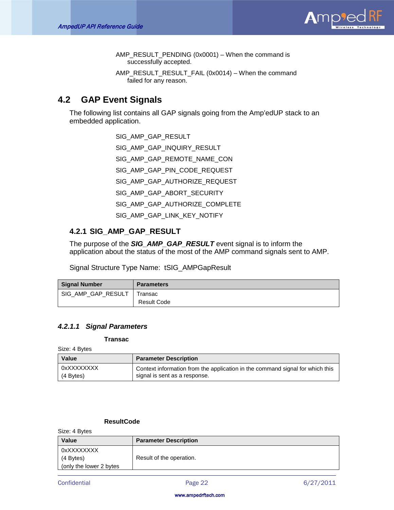

AMP\_RESULT\_PENDING (0x0001) – When the command is successfully accepted.

AMP\_RESULT\_RESULT\_FAIL (0x0014) – When the command failed for any reason.

# <span id="page-22-0"></span>**4.2 GAP Event Signals**

The following list contains all GAP signals going from the Amp'edUP stack to an embedded application.

- SIG\_AMP\_GAP\_RESULT
- SIG\_AMP\_GAP\_INQUIRY\_RESULT
- SIG\_AMP\_GAP\_REMOTE\_NAME\_CON
- SIG\_AMP\_GAP\_PIN\_CODE\_REQUEST
- SIG\_AMP\_GAP\_AUTHORIZE\_REQUEST
- SIG\_AMP\_GAP\_ABORT\_SECURITY
- SIG\_AMP\_GAP\_AUTHORIZE\_COMPLETE
- SIG\_AMP\_GAP\_LINK\_KEY\_NOTIFY

# <span id="page-22-1"></span>**4.2.1 SIG\_AMP\_GAP\_RESULT**

The purpose of the *SIG\_AMP\_GAP\_RESULT* event signal is to inform the application about the status of the most of the AMP command signals sent to AMP.

Signal Structure Type Name: tSIG\_AMPGapResult

| <b>Signal Number</b> | <b>Parameters</b> |
|----------------------|-------------------|
| SIG AMP GAP RESULT   | Transac           |
|                      | Result Code       |

## *4.2.1.1 Signal Parameters*

#### **Transac**

Size: 4 Bytes

| Value       | <b>Parameter Description</b>                                                  |
|-------------|-------------------------------------------------------------------------------|
| 0xXXXXXXXX  | Context information from the application in the command signal for which this |
| $(4$ Bytes) | signal is sent as a response.                                                 |

# **ResultCode**

Size: 4 Bytes

| Value                    | <b>Parameter Description</b> |
|--------------------------|------------------------------|
| 0xXXXXXXXX               |                              |
| $(4$ Bytes)              | Result of the operation.     |
| (only the lower 2 bytes) |                              |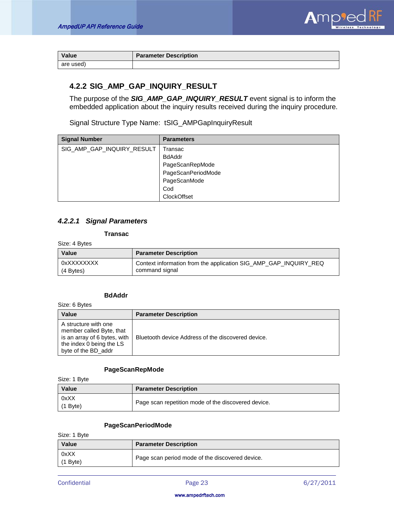

| Value     | <b>Parameter Description</b> |
|-----------|------------------------------|
| are used) |                              |

# <span id="page-23-0"></span>**4.2.2 SIG\_AMP\_GAP\_INQUIRY\_RESULT**

The purpose of the *SIG\_AMP\_GAP\_INQUIRY\_RESULT* event signal is to inform the embedded application about the inquiry results received during the inquiry procedure.

Signal Structure Type Name: tSIG\_AMPGapInquiryResult

| <b>Signal Number</b>       | <b>Parameters</b>  |
|----------------------------|--------------------|
| SIG_AMP_GAP_INQUIRY_RESULT | Transac            |
|                            | <b>BdAddr</b>      |
|                            | PageScanRepMode    |
|                            | PageScanPeriodMode |
|                            | PageScanMode       |
|                            | Cod                |
|                            | ClockOffset        |

# *4.2.2.1 Signal Parameters*

### **Transac**

Size: 4 Bytes

| Value       | <b>Parameter Description</b>                                     |
|-------------|------------------------------------------------------------------|
| 0xXXXXXXXX  | Context information from the application SIG_AMP_GAP_INQUIRY_REQ |
| $(4$ Bytes) | command signal                                                   |

#### **BdAddr**

Size: 6 Bytes

| Value                                                                                                                               | <b>Parameter Description</b>                       |
|-------------------------------------------------------------------------------------------------------------------------------------|----------------------------------------------------|
| A structure with one<br>member called Byte, that<br>is an array of 6 bytes, with<br>the index 0 being the LS<br>byte of the BD addr | Bluetooth device Address of the discovered device. |

#### **PageScanRepMode**

Size: 1 Byte

| Value              | <b>Parameter Description</b>                        |
|--------------------|-----------------------------------------------------|
| 0xXX<br>$(1$ Byte) | Page scan repetition mode of the discovered device. |

## **PageScanPeriodMode**

Size: 1 Byte

| <b>Value</b>       | <b>Parameter Description</b>                    |
|--------------------|-------------------------------------------------|
| 0xXX<br>$(1$ Byte) | Page scan period mode of the discovered device. |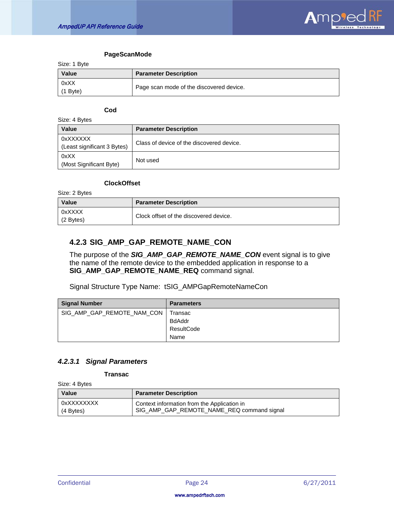

#### **PageScanMode**

Size: 1 Byte

| ------------  |                                          |
|---------------|------------------------------------------|
| Value         | <b>Parameter Description</b>             |
| 0xXX<br>Bvte) | Page scan mode of the discovered device. |

#### **Cod**

| Size: 4 Bytes                           |                                           |  |
|-----------------------------------------|-------------------------------------------|--|
| Value                                   | <b>Parameter Description</b>              |  |
| 0xXXXXXX<br>(Least significant 3 Bytes) | Class of device of the discovered device. |  |
| 0xXX<br>(Most Significant Byte)         | Not used                                  |  |

#### **ClockOffset**

Size: 2 Bytes

| <b>Value</b>        | <b>Parameter Description</b>           |
|---------------------|----------------------------------------|
| 0xXXXX<br>(2 Bytes) | Clock offset of the discovered device. |

# <span id="page-24-0"></span>**4.2.3 SIG\_AMP\_GAP\_REMOTE\_NAME\_CON**

The purpose of the *SIG\_AMP\_GAP\_REMOTE\_NAME\_CON* event signal is to give the name of the remote device to the embedded application in response to a **SIG\_AMP\_GAP\_REMOTE\_NAME\_REQ** command signal.

Signal Structure Type Name: tSIG\_AMPGapRemoteNameCon

| <b>Signal Number</b>       | <b>Parameters</b> |
|----------------------------|-------------------|
| SIG_AMP_GAP_REMOTE_NAM_CON | I Transac         |
|                            | <b>BdAddr</b>     |
|                            | ResultCode        |
|                            | Name              |

# *4.2.3.1 Signal Parameters*

#### **Transac**

Size: 4 Bytes

| <b>Value</b> | <b>Parameter Description</b>                |
|--------------|---------------------------------------------|
| OxXXXXXXXX   | Context information from the Application in |
| (4 Bytes)    | SIG_AMP_GAP_REMOTE_NAME_REQ command signal  |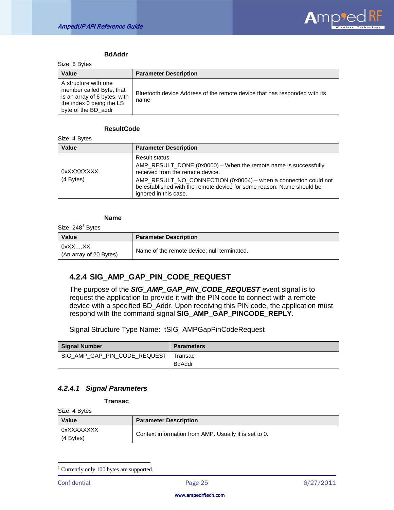

#### **BdAddr**

Size: 6 Bytes

| Value                                                                                                                               | <b>Parameter Description</b>                                                      |
|-------------------------------------------------------------------------------------------------------------------------------------|-----------------------------------------------------------------------------------|
| A structure with one<br>member called Byte, that<br>is an array of 6 bytes, with<br>the index 0 being the LS<br>byte of the BD_addr | Bluetooth device Address of the remote device that has responded with its<br>name |

### **ResultCode**

Size: 4 Bytes

| Value                   | <b>Parameter Description</b>                                                                                                                                                                                                                                                                     |
|-------------------------|--------------------------------------------------------------------------------------------------------------------------------------------------------------------------------------------------------------------------------------------------------------------------------------------------|
| 0xXXXXXXXX<br>(4 Bytes) | <b>Result status</b><br>AMP_RESULT_DONE (0x0000) – When the remote name is successfully<br>received from the remote device.<br>AMP_RESULT_NO_CONNECTION (0x0004) - when a connection could not<br>be established with the remote device for some reason. Name should be<br>ignored in this case. |

#### **Name**

Size:  $248<sup>1</sup>$  $248<sup>1</sup>$  $248<sup>1</sup>$  Bytes

| Value                            | <b>Parameter Description</b>                |
|----------------------------------|---------------------------------------------|
| 0xXXXX<br>(An array of 20 Bytes) | Name of the remote device; null terminated. |

# <span id="page-25-0"></span>**4.2.4 SIG\_AMP\_GAP\_PIN\_CODE\_REQUEST**

The purpose of the *SIG\_AMP\_GAP\_PIN\_CODE\_REQUEST* event signal is to request the application to provide it with the PIN code to connect with a remote device with a specified BD\_Addr. Upon receiving this PIN code, the application must respond with the command signal **SIG\_AMP\_GAP\_PINCODE\_REPLY**.

Signal Structure Type Name: tSIG\_AMPGapPinCodeRequest

| <b>Signal Number</b>         | <b>Parameters</b>        |
|------------------------------|--------------------------|
| SIG AMP GAP PIN CODE REQUEST | Transac<br><b>BdAddr</b> |

## *4.2.4.1 Signal Parameters*

**Transac**

Size: 4 Bytes

| Value                            | <b>Parameter Description</b>                          |
|----------------------------------|-------------------------------------------------------|
| 0xXXXXXXXX<br>$(4 \text{Bytes})$ | Context information from AMP. Usually it is set to 0. |

<span id="page-25-1"></span><sup>&</sup>lt;sup>1</sup> Currently only 100 bytes are supported.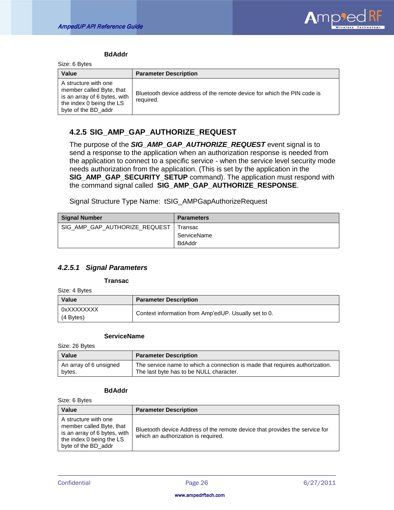

#### **BdAddr**

Size: 6 Bytes

| <b>UILD. U DYIUU</b>                                                                                                                |                                                                                      |
|-------------------------------------------------------------------------------------------------------------------------------------|--------------------------------------------------------------------------------------|
| <b>Value</b>                                                                                                                        | <b>Parameter Description</b>                                                         |
| A structure with one<br>member called Byte, that<br>is an array of 6 bytes, with<br>the index 0 being the LS<br>byte of the BD_addr | Bluetooth device address of the remote device for which the PIN code is<br>required. |

# <span id="page-26-0"></span>**4.2.5 SIG\_AMP\_GAP\_AUTHORIZE\_REQUEST**

The purpose of the *SIG\_AMP\_GAP\_AUTHORIZE\_REQUEST* event signal is to send a response to the application when an authorization response is needed from the application to connect to a specific service - when the service level security mode needs authorization from the application. (This is set by the application in the **SIG\_AMP\_GAP\_SECURITY\_SETUP** command). The application must respond with the command signal called **SIG\_AMP\_GAP\_AUTHORIZE\_RESPONSE**.

Signal Structure Type Name: tSIG\_AMPGapAuthorizeRequest

| <b>Signal Number</b>          | <b>Parameters</b> |
|-------------------------------|-------------------|
| SIG_AMP_GAP_AUTHORIZE_REQUEST | Transac           |
|                               | ServiceName       |
|                               | <b>BdAddr</b>     |

## *4.2.5.1 Signal Parameters*

#### **Transac**

Size: 4 Bytes

| Value                   | <b>Parameter Description</b>                         |
|-------------------------|------------------------------------------------------|
| 0xXXXXXXXX<br>(4 Bytes) | Context information from Amp'edUP. Usually set to 0. |

#### **ServiceName**

Size: 26 Bytes

| Value                  | <b>Parameter Description</b>                                                |
|------------------------|-----------------------------------------------------------------------------|
| An array of 6 unsigned | The service name to which a connection is made that requires authorization. |
| bytes.                 | The last byte has to be NULL character.                                     |

#### **BdAddr**

Size: 6 Bytes

| Value                                                                                                                               | <b>Parameter Description</b>                                                                                       |
|-------------------------------------------------------------------------------------------------------------------------------------|--------------------------------------------------------------------------------------------------------------------|
| A structure with one<br>member called Byte, that<br>is an array of 6 bytes, with<br>the index 0 being the LS<br>byte of the BD_addr | Bluetooth device Address of the remote device that provides the service for<br>which an authorization is required. |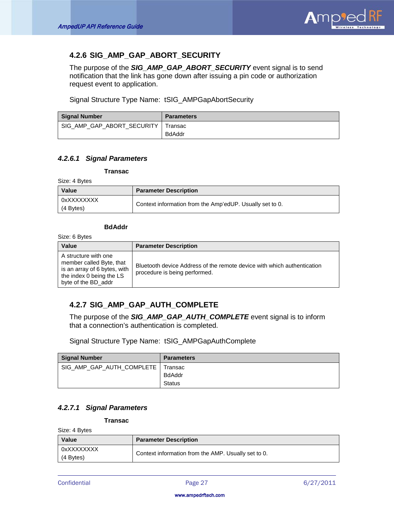

# <span id="page-27-0"></span>**4.2.6 SIG\_AMP\_GAP\_ABORT\_SECURITY**

The purpose of the *SIG\_AMP\_GAP\_ABORT\_SECURITY* event signal is to send notification that the link has gone down after issuing a pin code or authorization request event to application.

Signal Structure Type Name: tSIG\_AMPGapAbortSecurity

| <b>Signal Number</b>       | <b>Parameters</b> |
|----------------------------|-------------------|
| SIG AMP GAP ABORT SECURITY | Transac           |
|                            | <b>BdAddr</b>     |

## *4.2.6.1 Signal Parameters*

#### **Transac**

Size: 4 Bytes

| Value                     | <b>Parameter Description</b>                             |
|---------------------------|----------------------------------------------------------|
| 0xXXXXXXXX<br>$(4$ Bytes) | Context information from the Amp'edUP. Usually set to 0. |

### **BdAddr**

Size: 6 Bytes

| Value                                                                                                                               | <b>Parameter Description</b>                                                                             |
|-------------------------------------------------------------------------------------------------------------------------------------|----------------------------------------------------------------------------------------------------------|
| A structure with one<br>member called Byte, that<br>is an array of 6 bytes, with<br>the index 0 being the LS<br>byte of the BD addr | Bluetooth device Address of the remote device with which authentication<br>procedure is being performed. |

# <span id="page-27-1"></span>**4.2.7 SIG\_AMP\_GAP\_AUTH\_COMPLETE**

The purpose of the *SIG\_AMP\_GAP\_AUTH\_COMPLETE* event signal is to inform that a connection's authentication is completed.

Signal Structure Type Name: tSIG\_AMPGapAuthComplete

| Signal Number             | <b>Parameters</b> |
|---------------------------|-------------------|
| SIG_AMP_GAP_AUTH_COMPLETE | Transac           |
|                           | BdAddr            |
|                           | <b>Status</b>     |

## *4.2.7.1 Signal Parameters*

#### **Transac**

Size: 4 Bytes

| Value                   | <b>Parameter Description</b>                        |
|-------------------------|-----------------------------------------------------|
| 0xXXXXXXXX<br>(4 Bytes) | Context information from the AMP. Usually set to 0. |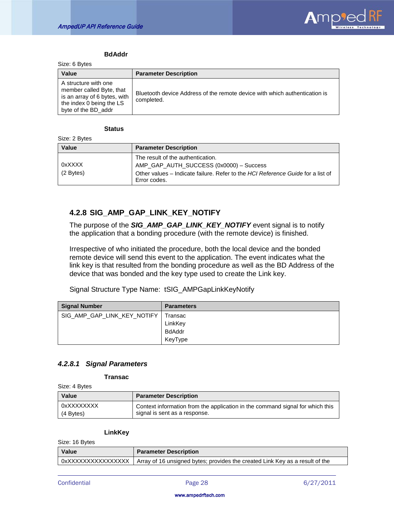

#### **BdAddr**

Size: 6 Bytes

| $V = V + V + V$                                                                                                                     |                                                                                          |
|-------------------------------------------------------------------------------------------------------------------------------------|------------------------------------------------------------------------------------------|
| Value                                                                                                                               | <b>Parameter Description</b>                                                             |
| A structure with one<br>member called Byte, that<br>is an array of 6 bytes, with<br>the index 0 being the LS<br>byte of the BD_addr | Bluetooth device Address of the remote device with which authentication is<br>completed. |

#### **Status**

Size: 2 Bytes

| <b>Value</b>          | <b>Parameter Description</b>                                                                                                                                                    |
|-----------------------|---------------------------------------------------------------------------------------------------------------------------------------------------------------------------------|
| 0xXXXX<br>$(2$ Bytes) | The result of the authentication.<br>AMP_GAP_AUTH_SUCCESS (0x0000) - Success<br>Other values – Indicate failure. Refer to the HCI Reference Guide for a list of<br>Error codes. |

# <span id="page-28-0"></span>**4.2.8 SIG\_AMP\_GAP\_LINK\_KEY\_NOTIFY**

The purpose of the *SIG\_AMP\_GAP\_LINK\_KEY\_NOTIFY* event signal is to notify the application that a bonding procedure (with the remote device) is finished.

Irrespective of who initiated the procedure, both the local device and the bonded remote device will send this event to the application. The event indicates what the link key is that resulted from the bonding procedure as well as the BD Address of the device that was bonded and the key type used to create the Link key.

Signal Structure Type Name: tSIG\_AMPGapLinkKeyNotify

| <b>Signal Number</b>        | <b>Parameters</b> |
|-----------------------------|-------------------|
| SIG_AMP_GAP_LINK_KEY_NOTIFY | Transac           |
|                             | LinkKey           |
|                             | <b>BdAddr</b>     |
|                             | KeyType           |

## *4.2.8.1 Signal Parameters*

**Transac**

Size: 4 Bytes

| <b>Value</b> | <b>Parameter Description</b>                                                  |  |
|--------------|-------------------------------------------------------------------------------|--|
| 0xXXXXXXXX   | Context information from the application in the command signal for which this |  |
| (4 Bytes)    | signal is sent as a response.                                                 |  |

#### **LinkKey**

Size: 16 Bytes

| $U = U_1 U_2 U_3 U_4 U_5 U_6$ |                                                                                                   |  |
|-------------------------------|---------------------------------------------------------------------------------------------------|--|
| Value                         | <b>Parameter Description</b>                                                                      |  |
|                               | 0xXXXXXXXXXXXXXXXX   Array of 16 unsigned bytes; provides the created Link Key as a result of the |  |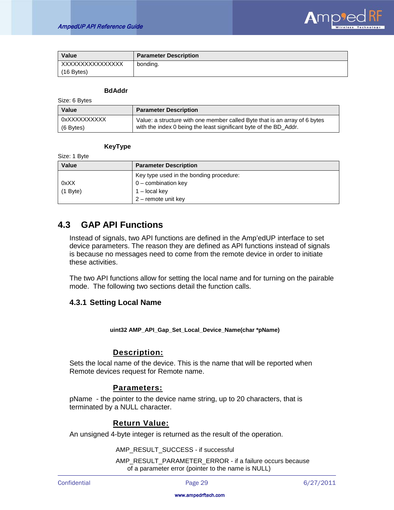

| Value            | <b>Parameter Description</b> |
|------------------|------------------------------|
| XXXXXXXXXXXXXXXX | bonding.                     |
| $(16$ Bytes)     |                              |

#### **BdAddr**

| Size: 6 Bytes |  |
|---------------|--|
|---------------|--|

Size: 1 Byte

| <b>Value</b>                | <b>Parameter Description</b>                                                                                                                    |  |
|-----------------------------|-------------------------------------------------------------------------------------------------------------------------------------------------|--|
| 0xXXXXXXXXXX<br>$(6$ Bytes) | Value: a structure with one member called Byte that is an array of 6 bytes<br>with the index 0 being the least significant byte of the BD Addr. |  |

## **KeyType**

| ----------- |                                         |
|-------------|-----------------------------------------|
| Value       | <b>Parameter Description</b>            |
|             | Key type used in the bonding procedure: |
| 0xXX        | $0$ – combination key                   |
| $(1$ Byte)  | $1 -$ local key                         |
|             | 2 - remote unit key                     |

# <span id="page-29-0"></span>**4.3 GAP API Functions**

Instead of signals, two API functions are defined in the Amp'edUP interface to set device parameters. The reason they are defined as API functions instead of signals is because no messages need to come from the remote device in order to initiate these activities.

The two API functions allow for setting the local name and for turning on the pairable mode. The following two sections detail the function calls.

# <span id="page-29-1"></span>**4.3.1 Setting Local Name**

**uint32 AMP\_API\_Gap\_Set\_Local\_Device\_Name(char \*pName)**

# **Description:**

Sets the local name of the device. This is the name that will be reported when Remote devices request for Remote name.

# **Parameters:**

pName - the pointer to the device name string, up to 20 characters, that is terminated by a NULL character.

# **Return Value:**

An unsigned 4-byte integer is returned as the result of the operation.

AMP\_RESULT\_SUCCESS - if successful

AMP\_RESULT\_PARAMETER\_ERROR - if a failure occurs because of a parameter error (pointer to the name is NULL)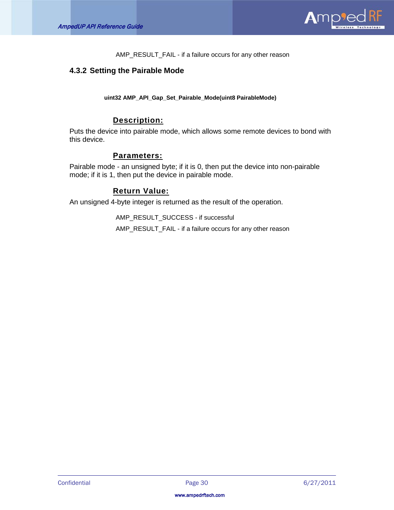

AMP\_RESULT\_FAIL - if a failure occurs for any other reason

# <span id="page-30-0"></span>**4.3.2 Setting the Pairable Mode**

**uint32 AMP\_API\_Gap\_Set\_Pairable\_Mode(uint8 PairableMode)**

# **Description:**

Puts the device into pairable mode, which allows some remote devices to bond with this device.

# **Parameters:**

Pairable mode - an unsigned byte; if it is 0, then put the device into non-pairable mode; if it is 1, then put the device in pairable mode.

# **Return Value:**

An unsigned 4-byte integer is returned as the result of the operation.

AMP\_RESULT\_SUCCESS - if successful

AMP\_RESULT\_FAIL - if a failure occurs for any other reason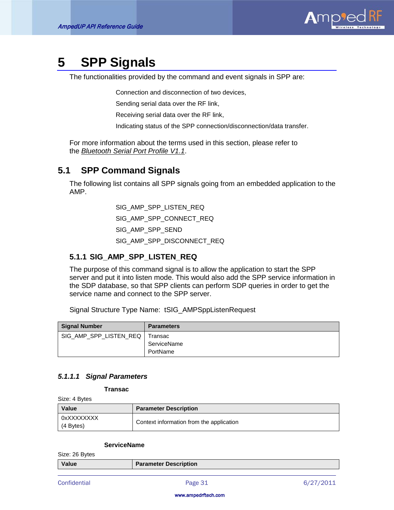

# <span id="page-31-0"></span>**5 SPP Signals**

The functionalities provided by the command and event signals in SPP are:

Connection and disconnection of two devices,

Sending serial data over the RF link,

Receiving serial data over the RF link,

Indicating status of the SPP connection/disconnection/data transfer.

For more information about the terms used in this section, please refer to the *Bluetooth Serial Port Profile V1.1* .

# <span id="page-31-1"></span>**5.1 SPP Command Signals**

The following list contains all SPP signals going from an embedded application to the AMP.

> SIG\_AMP\_SPP\_LISTEN\_REQ SIG\_AMP\_SPP\_CONNECT\_REQ SIG\_AMP\_SPP\_SEND SIG\_AMP\_SPP\_DISCONNECT\_REQ

# <span id="page-31-2"></span>**5.1.1 SIG\_AMP\_SPP\_LISTEN\_REQ**

The purpose of this command signal is to allow the application to start the SPP server and put it into listen mode. This would also add the SPP service information in the SDP database, so that SPP clients can perform SDP queries in order to get the service name and connect to the SPP server.

Signal Structure Type Name: tSIG\_AMPSppListenRequest

| <b>Signal Number</b>   | <b>Parameters</b> |
|------------------------|-------------------|
| SIG AMP SPP LISTEN REQ | Transac           |
|                        | ServiceName       |
|                        | PortName          |

## *5.1.1.1 Signal Parameters*

**Transac**

Size: 4 Bytes

| Value                     | <b>Parameter Description</b>             |
|---------------------------|------------------------------------------|
| 0xXXXXXXXX<br>$(4$ Bytes) | Context information from the application |

#### **ServiceName**

Size: 26 Bytes

| Value | <b>Parameter Description</b> |
|-------|------------------------------|
|       |                              |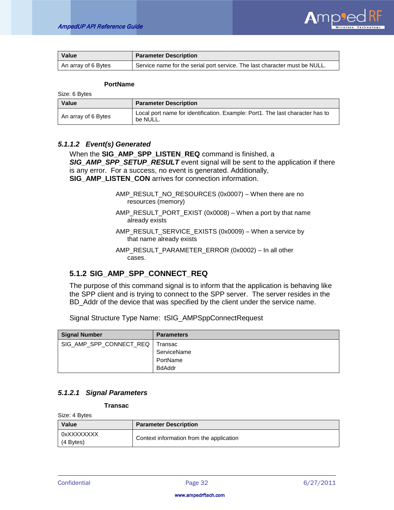

| <b>Value</b>        | <b>Parameter Description</b>                                               |
|---------------------|----------------------------------------------------------------------------|
| An array of 6 Bytes | Service name for the serial port service. The last character must be NULL. |

#### **PortName**

Size: 6 Bytes

| <b>Value</b>        | <b>Parameter Description</b>                                                              |  |
|---------------------|-------------------------------------------------------------------------------------------|--|
| An array of 6 Bytes | Local port name for identification. Example: Port1. The last character has to<br>be NULL. |  |

### *5.1.1.2 Event(s) Generated*

When the **SIG\_AMP\_SPP\_LISTEN\_REQ** command is finished, a *SIG\_AMP\_SPP\_SETUP\_RESULT* event signal will be sent to the application if there is any error. For a success, no event is generated. Additionally, **SIG\_AMP\_LISTEN\_CON** arrives for connection information.

> AMP\_RESULT\_NO\_RESOURCES (0x0007) – When there are no resources (memory)

AMP\_RESULT\_PORT\_EXIST (0x0008) – When a port by that name already exists

AMP\_RESULT\_SERVICE\_EXISTS (0x0009) – When a service by that name already exists

AMP\_RESULT\_PARAMETER\_ERROR (0x0002) – In all other cases.

# <span id="page-32-0"></span>**5.1.2 SIG\_AMP\_SPP\_CONNECT\_REQ**

The purpose of this command signal is to inform that the application is behaving like the SPP client and is trying to connect to the SPP server. The server resides in the BD\_Addr of the device that was specified by the client under the service name.

Signal Structure Type Name: tSIG\_AMPSppConnectRequest

| <b>Signal Number</b>              | <b>Parameters</b> |
|-----------------------------------|-------------------|
| SIG_AMP_SPP_CONNECT_REQ   Transac |                   |
|                                   | ServiceName       |
|                                   | PortName          |
|                                   | <b>BdAddr</b>     |

## *5.1.2.1 Signal Parameters*

**Transac**

Size: 4 Bytes

| Value                   | <b>Parameter Description</b>             |
|-------------------------|------------------------------------------|
| 0xXXXXXXXX<br>(4 Bytes) | Context information from the application |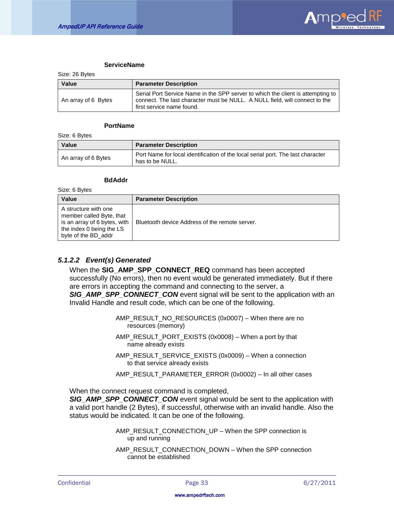

#### **ServiceName**

Size: 26 Bytes

| Value               | <b>Parameter Description</b>                                                                                                                                                                |
|---------------------|---------------------------------------------------------------------------------------------------------------------------------------------------------------------------------------------|
| An array of 6 Bytes | Serial Port Service Name in the SPP server to which the client is attempting to<br>connect. The last character must be NULL. A NULL field, will connect to the<br>first service name found. |

#### **PortName**

Size: 6 Bytes

Size: 6 Bytes

| Value               | <b>Parameter Description</b>                                                                       |
|---------------------|----------------------------------------------------------------------------------------------------|
| An array of 6 Bytes | Port Name for local identification of the local serial port. The last character<br>has to be NULL. |

#### **BdAddr**

| OILU. U DYLUU                                                                                                                       |                                                |
|-------------------------------------------------------------------------------------------------------------------------------------|------------------------------------------------|
| Value                                                                                                                               | <b>Parameter Description</b>                   |
| A structure with one<br>member called Byte, that<br>is an array of 6 bytes, with<br>the index 0 being the LS<br>byte of the BD_addr | Bluetooth device Address of the remote server. |

## *5.1.2.2 Event(s) Generated*

When the **SIG\_AMP\_SPP\_CONNECT\_REQ** command has been accepted successfully (No errors), then no event would be generated immediately. But if there are errors in accepting the command and connecting to the server, a *SIG\_AMP\_SPP\_CONNECT\_CON* event signal will be sent to the application with an Invalid Handle and result code, which can be one of the following.

> AMP\_RESULT\_NO\_RESOURCES (0x0007) – When there are no resources (memory)

- AMP\_RESULT\_PORT\_EXISTS (0x0008) When a port by that name already exists
- AMP\_RESULT\_SERVICE\_EXISTS (0x0009) When a connection to that service already exists
- AMP\_RESULT\_PARAMETER\_ERROR (0x0002) In all other cases

When the connect request command is completed,

*SIG\_AMP\_SPP\_CONNECT\_CON* event signal would be sent to the application with a valid port handle (2 Bytes), if successful, otherwise with an invalid handle. Also the status would be indicated. It can be one of the following.

> AMP\_RESULT\_CONNECTION\_UP – When the SPP connection is up and running

AMP\_RESULT\_CONNECTION\_DOWN – When the SPP connection cannot be established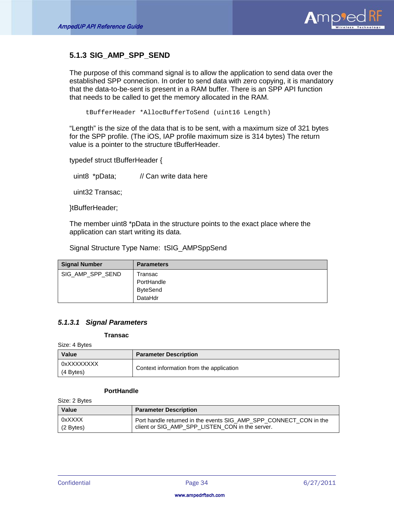

# <span id="page-34-0"></span>**5.1.3 SIG\_AMP\_SPP\_SEND**

The purpose of this command signal is to allow the application to send data over the established SPP connection. In order to send data with zero copying, it is mandatory that the data-to-be-sent is present in a RAM buffer. There is an SPP API function that needs to be called to get the memory allocated in the RAM.

tBufferHeader \*AllocBufferToSend (uint16 Length)

"Length" is the size of the data that is to be sent, with a maximum size of 321 bytes for the SPP profile. (The iOS, IAP profile maximum size is 314 bytes) The return value is a pointer to the structure tBufferHeader.

typedef struct tBufferHeader {

uint8 \*pData; // Can write data here

uint32 Transac;

}tBufferHeader;

The member uint8 \*pData in the structure points to the exact place where the application can start writing its data.

Signal Structure Type Name: tSIG\_AMPSppSend

| <b>Signal Number</b> | <b>Parameters</b> |
|----------------------|-------------------|
| SIG_AMP_SPP_SEND     | Transac           |
|                      | PortHandle        |
|                      | <b>ByteSend</b>   |
|                      | DataHdr           |

## *5.1.3.1 Signal Parameters*

#### **Transac**

Size: 4 Bytes

| <b>Value</b>            | <b>Parameter Description</b>             |
|-------------------------|------------------------------------------|
| 0xXXXXXXXX<br>(4 Bytes) | Context information from the application |

### **PortHandle**

Size: 2 Bytes

| <b>Value</b> | <b>Parameter Description</b>                                      |
|--------------|-------------------------------------------------------------------|
| 0xXXXX       | Port handle returned in the events SIG AMP SPP CONNECT CON in the |
| $(2$ Bytes)  | client or SIG_AMP_SPP_LISTEN_CON in the server.                   |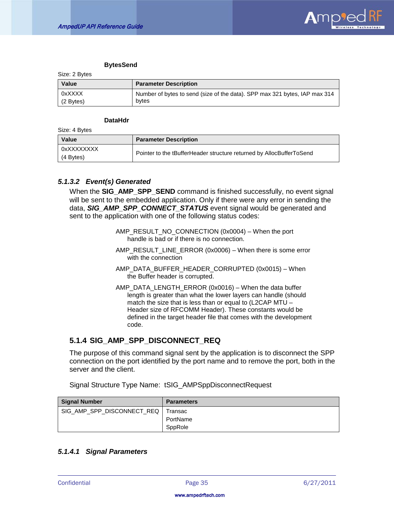

#### **BytesSend**

Size: 2 Bytes

| <b>Value</b> | <b>Parameter Description</b>                                               |
|--------------|----------------------------------------------------------------------------|
| 0xXXXX       | Number of bytes to send (size of the data). SPP max 321 bytes, IAP max 314 |
| (2 Bytes)    | bytes                                                                      |

#### **DataHdr**

Size: 4 Bytes

| Value                     | <b>Parameter Description</b>                                         |
|---------------------------|----------------------------------------------------------------------|
| 0xXXXXXXXX<br>$(4$ Bytes) | Pointer to the tBufferHeader structure returned by AllocBufferToSend |

### *5.1.3.2 Event(s) Generated*

When the **SIG\_AMP\_SPP\_SEND** command is finished successfully, no event signal will be sent to the embedded application. Only if there were any error in sending the data, *SIG\_AMP\_SPP\_CONNECT\_STATUS* event signal would be generated and sent to the application with one of the following status codes:

- AMP\_RESULT\_NO\_CONNECTION (0x0004) When the port handle is bad or if there is no connection.
- AMP\_RESULT\_LINE\_ERROR (0x0006) When there is some error with the connection
- AMP\_DATA\_BUFFER\_HEADER\_CORRUPTED (0x0015) When the Buffer header is corrupted.
- AMP\_DATA\_LENGTH\_ERROR (0x0016) When the data buffer length is greater than what the lower layers can handle (should match the size that is less than or equal to (L2CAP MTU – Header size of RFCOMM Header). These constants would be defined in the target header file that comes with the development code.

# <span id="page-35-0"></span>**5.1.4 SIG\_AMP\_SPP\_DISCONNECT\_REQ**

The purpose of this command signal sent by the application is to disconnect the SPP connection on the port identified by the port name and to remove the port, both in the server and the client.

Signal Structure Type Name: tSIG\_AMPSppDisconnectRequest

| <b>Signal Number</b>                 | <b>Parameters</b> |
|--------------------------------------|-------------------|
| SIG_AMP_SPP_DISCONNECT_REQ   Transac |                   |
|                                      | PortName          |
|                                      | SppRole           |

# *5.1.4.1 Signal Parameters*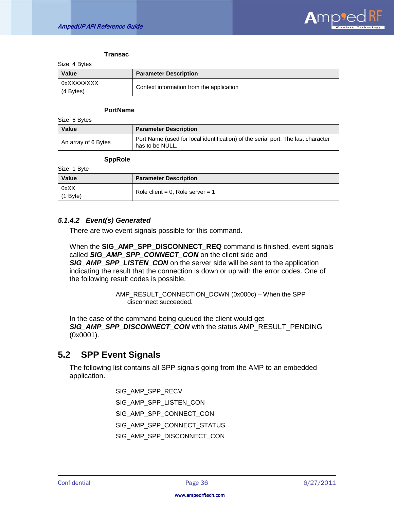

#### **Transac**

Size: 4 Bytes

| Value                     | <b>Parameter Description</b>             |
|---------------------------|------------------------------------------|
| 0xXXXXXXXX<br>$(4$ Bytes) | Context information from the application |

#### **PortName**

Size: 6 Bytes

| Value               | <b>Parameter Description</b>                                                                        |
|---------------------|-----------------------------------------------------------------------------------------------------|
| An array of 6 Bytes | Port Name (used for local identification) of the serial port. The last character<br>has to be NULL. |

#### **SppRole**

Size: 1 Byte

| <b>Value</b>  | <b>Parameter Description</b>     |
|---------------|----------------------------------|
| 0xXX<br>(1 B) | Role client = 0, Role server = 1 |

## *5.1.4.2 Event(s) Generated*

There are two event signals possible for this command.

When the **SIG\_AMP\_SPP\_DISCONNECT\_REQ** command is finished, event signals called **SIG\_AMP\_SPP\_CONNECT\_CON** on the client side and **SIG\_AMP\_SPP\_LISTEN\_CON** on the server side will be sent to the application indicating the result that the connection is down or up with the error codes. One of the following result codes is possible.

> AMP\_RESULT\_CONNECTION\_DOWN (0x000c) – When the SPP disconnect succeeded.

In the case of the command being queued the client would get *SIG\_AMP\_SPP\_DISCONNECT\_CON* with the status AMP\_RESULT\_PENDING (0x0001).

# <span id="page-36-0"></span>**5.2 SPP Event Signals**

The following list contains all SPP signals going from the AMP to an embedded application.

> SIG\_AMP\_SPP\_RECV SIG\_AMP\_SPP\_LISTEN\_CON SIG\_AMP\_SPP\_CONNECT\_CON SIG\_AMP\_SPP\_CONNECT\_STATUS SIG\_AMP\_SPP\_DISCONNECT*\_*CON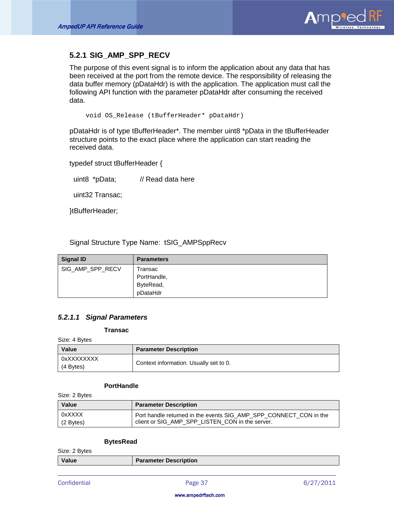

# <span id="page-37-0"></span>**5.2.1 SIG\_AMP\_SPP\_RECV**

The purpose of this event signal is to inform the application about any data that has been received at the port from the remote device. The responsibility of releasing the data buffer memory (pDataHdr) is with the application. The application must call the following API function with the parameter pDataHdr after consuming the received data.

void OS\_Release (tBufferHeader\* pDataHdr)

pDataHdr is of type tBufferHeader\*. The member uint8 \*pData in the tBufferHeader structure points to the exact place where the application can start reading the received data.

typedef struct tBufferHeader {

uint8 \*pData; // Read data here

uint32 Transac;

}tBufferHeader;

Signal Structure Type Name: tSIG\_AMPSppRecv

| <b>Signal ID</b> | <b>Parameters</b> |
|------------------|-------------------|
| SIG AMP SPP RECV | Transac           |
|                  | PortHandle,       |
|                  | ByteRead,         |
|                  | pDataHdr          |

## *5.2.1.1 Signal Parameters*

#### **Transac**

Size: 4 Bytes

| Value                     | <b>Parameter Description</b>           |
|---------------------------|----------------------------------------|
| 0xXXXXXXXX<br>$(4$ Bytes) | Context information. Usually set to 0. |

### **PortHandle**

Size: 2 Bytes

| <b>Value</b> | <b>Parameter Description</b>                                      |
|--------------|-------------------------------------------------------------------|
| 0xXXXX       | Port handle returned in the events SIG AMP SPP CONNECT CON in the |
| (2 Bytes)    | client or SIG_AMP_SPP_LISTEN_CON in the server.                   |

#### **BytesRead**

Size: 2 Bytes

| Value | <b>Parameter Description</b> |
|-------|------------------------------|
|       |                              |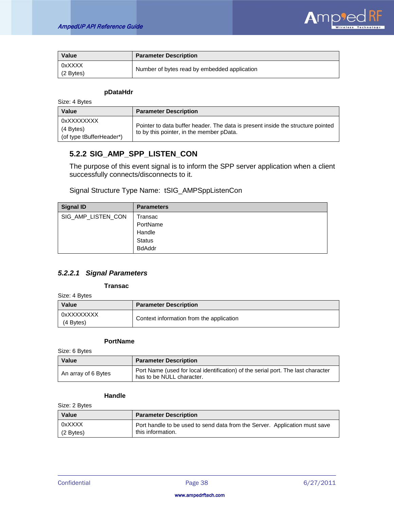

| Value                 | <b>Parameter Description</b>                 |
|-----------------------|----------------------------------------------|
| 0xXXXX<br>$(2$ Bytes) | Number of bytes read by embedded application |

### **pDataHdr**

Size: 4 Bytes

| <b>Value</b>                                        | <b>Parameter Description</b>                                                                                                |
|-----------------------------------------------------|-----------------------------------------------------------------------------------------------------------------------------|
| 0xXXXXXXXX<br>(4 Bytes)<br>(of type tBufferHeader*) | Pointer to data buffer header. The data is present inside the structure pointed<br>to by this pointer, in the member pData. |

# <span id="page-38-0"></span>**5.2.2 SIG\_AMP\_SPP\_LISTEN\_CON**

The purpose of this event signal is to inform the SPP server application when a client successfully connects/disconnects to it.

Signal Structure Type Name: tSIG\_AMPSppListenCon

| <b>Signal ID</b>   | <b>Parameters</b> |
|--------------------|-------------------|
| SIG_AMP_LISTEN_CON | Transac           |
|                    | PortName          |
|                    | Handle            |
|                    | <b>Status</b>     |
|                    | <b>BdAddr</b>     |

# *5.2.2.1 Signal Parameters*

**Transac**

Size: 4 Bytes

| Value                   | <b>Parameter Description</b>             |
|-------------------------|------------------------------------------|
| 0xXXXXXXXX<br>(4 Bytes) | Context information from the application |

#### **PortName**

Size: 6 Bytes

| Value               | <b>Parameter Description</b>                                                                                  |
|---------------------|---------------------------------------------------------------------------------------------------------------|
| An array of 6 Bytes | Port Name (used for local identification) of the serial port. The last character<br>has to be NULL character. |

#### **Handle**

Size: 2 Bytes

| <b>Value</b> | <b>Parameter Description</b>                                               |
|--------------|----------------------------------------------------------------------------|
| 0xXXXX       | Port handle to be used to send data from the Server. Application must save |
| $(2$ Bytes)  | this information.                                                          |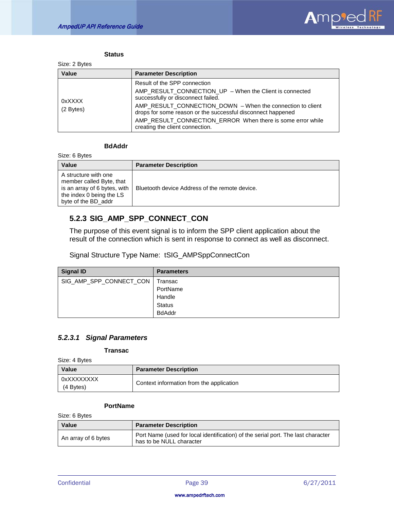

#### **Status**

| <b>Value</b>        | <b>Parameter Description</b>                                                                                                                                                                                                                                                                                                                                |
|---------------------|-------------------------------------------------------------------------------------------------------------------------------------------------------------------------------------------------------------------------------------------------------------------------------------------------------------------------------------------------------------|
| 0xXXXX<br>(2 Bytes) | Result of the SPP connection<br>AMP_RESULT_CONNECTION_UP - When the Client is connected<br>successfully or disconnect failed.<br>AMP_RESULT_CONNECTION_DOWN - When the connection to client<br>drops for some reason or the successful disconnect happened<br>AMP_RESULT_CONNECTION_ERROR_When there is some error while<br>creating the client connection. |

# **BdAddr**

Size: 6 Bytes

| <b>Value</b>                                                                                                                        | <b>Parameter Description</b>                   |
|-------------------------------------------------------------------------------------------------------------------------------------|------------------------------------------------|
| A structure with one<br>member called Byte, that<br>is an array of 6 bytes, with<br>the index 0 being the LS<br>byte of the BD addr | Bluetooth device Address of the remote device. |

# <span id="page-39-0"></span>**5.2.3 SIG\_AMP\_SPP\_CONNECT\_CON**

The purpose of this event signal is to inform the SPP client application about the result of the connection which is sent in response to connect as well as disconnect.

Signal Structure Type Name: tSIG\_AMPSppConnectCon

| <b>Signal ID</b>        | <b>Parameters</b> |
|-------------------------|-------------------|
| SIG_AMP_SPP_CONNECT_CON | Transac           |
|                         | PortName          |
|                         | Handle            |
|                         | <b>Status</b>     |
|                         | <b>BdAddr</b>     |

# *5.2.3.1 Signal Parameters*

### **Transac**

Size: 4 Bytes

| Value                   | <b>Parameter Description</b>             |
|-------------------------|------------------------------------------|
| 0xXXXXXXXX<br>(4 Bytes) | Context information from the application |

#### **PortName**

Size: 6 Bytes

| Value               | <b>Parameter Description</b>                                                                                 |
|---------------------|--------------------------------------------------------------------------------------------------------------|
| An array of 6 bytes | Port Name (used for local identification) of the serial port. The last character<br>has to be NULL character |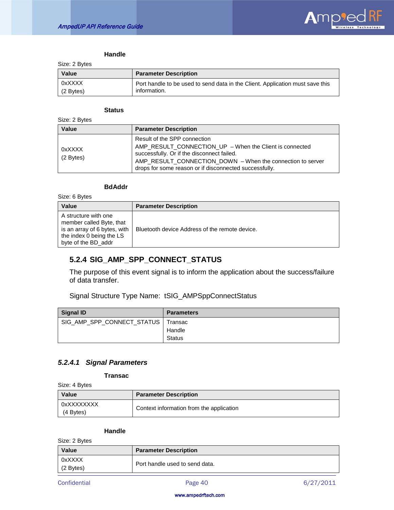

#### **Handle**

Size: 2 Bytes

| Value     | <b>Parameter Description</b>                                                  |
|-----------|-------------------------------------------------------------------------------|
| 0xXXXX    | Port handle to be used to send data in the Client. Application must save this |
| (2 Bytes) | information.                                                                  |

#### **Status**

| Size: 2 Bytes       |                                                                                                                                                                                                                                                               |
|---------------------|---------------------------------------------------------------------------------------------------------------------------------------------------------------------------------------------------------------------------------------------------------------|
| Value               | <b>Parameter Description</b>                                                                                                                                                                                                                                  |
| 0xXXXX<br>(2 Bytes) | Result of the SPP connection<br>AMP_RESULT_CONNECTION_UP - When the Client is connected<br>successfully. Or if the disconnect failed.<br>AMP_RESULT_CONNECTION_DOWN - When the connection to server<br>drops for some reason or if disconnected successfully. |

### **BdAddr**

Size: 6 Bytes

| <b>Value</b>                                                                                                                        | <b>Parameter Description</b>                   |
|-------------------------------------------------------------------------------------------------------------------------------------|------------------------------------------------|
| A structure with one<br>member called Byte, that<br>is an array of 6 bytes, with<br>the index 0 being the LS<br>byte of the BD addr | Bluetooth device Address of the remote device. |

# <span id="page-40-0"></span>**5.2.4 SIG\_AMP\_SPP\_CONNECT\_STATUS**

The purpose of this event signal is to inform the application about the success/failure of data transfer.

Signal Structure Type Name: tSIG\_AMPSppConnectStatus

| Signal ID                            | <b>Parameters</b>       |
|--------------------------------------|-------------------------|
| SIG_AMP_SPP_CONNECT_STATUS   Transac | Handle<br><b>Status</b> |

# *5.2.4.1 Signal Parameters*

**Transac**

Size: 4 Bytes

| Value                   | <b>Parameter Description</b>             |
|-------------------------|------------------------------------------|
| 0xXXXXXXXX<br>(4 Bytes) | Context information from the application |

#### **Handle**

Size: 2 Bytes

| OILE. Z DYLES       |                                |
|---------------------|--------------------------------|
| <b>Value</b>        | <b>Parameter Description</b>   |
| 0xXXXX<br>(2 Bytes) | Port handle used to send data. |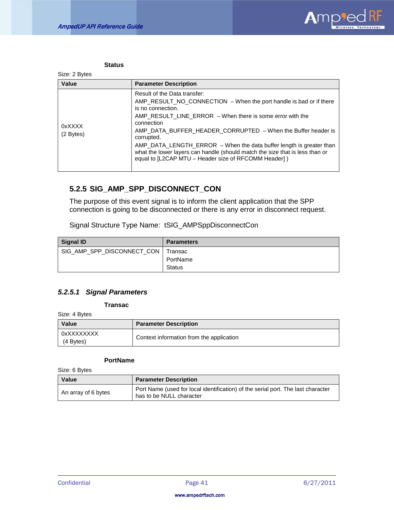

| ۱t<br>.,<br>w<br>. .<br>M.<br>٧ |
|---------------------------------|
|---------------------------------|

| Value                 | <b>Parameter Description</b>                                                                                                                                                                                                                                                                                                                                                                                                                                                                        |
|-----------------------|-----------------------------------------------------------------------------------------------------------------------------------------------------------------------------------------------------------------------------------------------------------------------------------------------------------------------------------------------------------------------------------------------------------------------------------------------------------------------------------------------------|
| 0xXXXX<br>$(2$ Bytes) | Result of the Data transfer:<br>AMP RESULT NO CONNECTION $-$ When the port handle is bad or if there<br>is no connection.<br>AMP RESULT LINE ERROR $-$ When there is some error with the<br>connection<br>AMP DATA BUFFER HEADER CORRUPTED - When the Buffer header is<br>corrupted.<br>AMP_DATA_LENGTH_ERROR – When the data buffer length is greater than<br>what the lower layers can handle (should match the size that is less than or<br>equal to [L2CAP MTU - Header size of RFCOMM Header]) |

# <span id="page-41-0"></span>**5.2.5 SIG\_AMP\_SPP\_DISCONNECT\_CON**

The purpose of this event signal is to inform the client application that the SPP connection is going to be disconnected or there is any error in disconnect request.

Signal Structure Type Name: tSIG\_AMPSppDisconnectCon

| <b>Signal ID</b>           | <b>Parameters</b> |
|----------------------------|-------------------|
| SIG_AMP_SPP_DISCONNECT_CON | l Transac         |
|                            | PortName          |
|                            | Status            |

## *5.2.5.1 Signal Parameters*

**Transac**

Size: 4 Bytes

| <b>Value</b>            | <b>Parameter Description</b>             |
|-------------------------|------------------------------------------|
| 0xXXXXXXXX<br>(4 Bytes) | Context information from the application |

#### **PortName**

Size: 6 Bytes

| Value               | <b>Parameter Description</b>                                                                                 |
|---------------------|--------------------------------------------------------------------------------------------------------------|
| An array of 6 bytes | Port Name (used for local identification) of the serial port. The last character<br>has to be NULL character |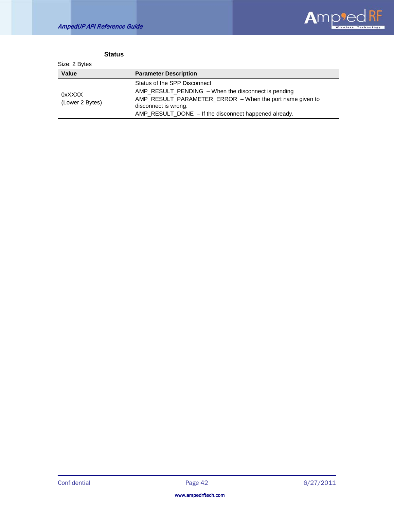

# **Status**

Size: 2 Bytes

| <b>Value</b>              | <b>Parameter Description</b>                                                                                                                                                                                                     |
|---------------------------|----------------------------------------------------------------------------------------------------------------------------------------------------------------------------------------------------------------------------------|
| 0xXXXX<br>(Lower 2 Bytes) | Status of the SPP Disconnect<br>AMP_RESULT_PENDING – When the disconnect is pending<br>AMP_RESULT_PARAMETER_ERROR - When the port name given to<br>disconnect is wrong.<br>AMP_RESULT_DONE - If the disconnect happened already. |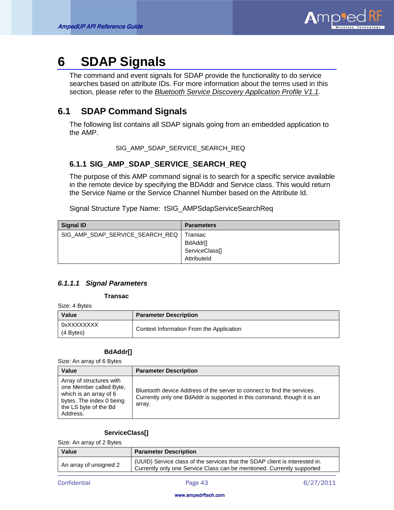

# <span id="page-43-0"></span>**6 SDAP Signals**

The command and event signals for SDAP provide the functionality to do service searches based on attribute IDs. For more information about the terms used in this section, please refer to the *Bluetooth Service Discovery Application Profile V1.1 .*

# <span id="page-43-1"></span>**6.1 SDAP Command Signals**

The following list contains all SDAP signals going from an embedded application to the AMP.

SIG\_AMP\_SDAP\_SERVICE\_SEARCH\_REQ

# <span id="page-43-2"></span>**6.1.1 SIG\_AMP\_SDAP\_SERVICE\_SEARCH\_REQ**

The purpose of this AMP command signal is to search for a specific service available in the remote device by specifying the BDAddr and Service class. This would return the Service Name or the Service Channel Number based on the Attribute Id.

Signal Structure Type Name: tSIG\_AMPSdapServiceSearchReq

| <b>Signal ID</b>                | <b>Parameters</b> |
|---------------------------------|-------------------|
| SIG_AMP_SDAP_SERVICE_SEARCH_REQ | Transac           |
|                                 | BdAddr[]          |
|                                 | ServiceClass[]    |
|                                 | Attributeld       |

## *6.1.1.1 Signal Parameters*

**Transac**

Size: 4 Bytes

| Value                            | <b>Parameter Description</b>             |
|----------------------------------|------------------------------------------|
| 0xXXXXXXXX<br>$(4 \text{Bytes})$ | Context Information From the Application |

## **BdAddr[]**

Size: An array of 6 Bytes

| Value                                                                                                                                          | <b>Parameter Description</b>                                                                                                                                 |
|------------------------------------------------------------------------------------------------------------------------------------------------|--------------------------------------------------------------------------------------------------------------------------------------------------------------|
| Array of structures with<br>one Member called Byte,<br>which is an array of 6<br>bytes. The index 0 being<br>the LS byte of the Bd<br>Address. | Bluetooth device Address of the server to connect to find the services.<br>Currently only one BdAddr is supported in this command, though it is an<br>array. |

## **ServiceClass[]**

Size: An array of 2 Bytes

| <b>Value</b>           | <b>Parameter Description</b>                                                                                                                          |
|------------------------|-------------------------------------------------------------------------------------------------------------------------------------------------------|
| An array of unsigned 2 | (UUID) Service class of the services that the SDAP client is interested in.<br>Currently only one Service Class can be mentioned. Currently supported |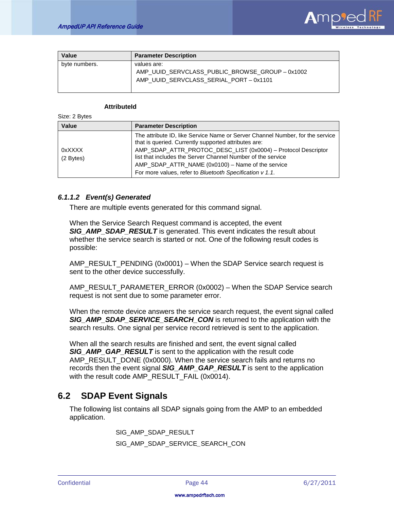

| Value         | <b>Parameter Description</b>                                                                            |
|---------------|---------------------------------------------------------------------------------------------------------|
| byte numbers. | values are:<br>AMP_UUID_SERVCLASS_PUBLIC_BROWSE_GROUP - 0x1002<br>AMP UUID SERVCLASS SERIAL PORT-0x1101 |

#### **AttributeId**

Size: 2 Bytes

| Value               | <b>Parameter Description</b>                                                                                                          |
|---------------------|---------------------------------------------------------------------------------------------------------------------------------------|
|                     | The attribute ID, like Service Name or Server Channel Number, for the service<br>that is queried. Currently supported attributes are: |
| 0xXXXX<br>(2 Bytes) | AMP_SDAP_ATTR_PROTOC_DESC_LIST (0x0004) - Protocol Descriptor<br>list that includes the Server Channel Number of the service          |
|                     | AMP_SDAP_ATTR_NAME (0x0100) - Name of the service                                                                                     |
|                     | For more values, refer to Bluetooth Specification v 1.1.                                                                              |

## *6.1.1.2 Event(s) Generated*

There are multiple events generated for this command signal.

When the Service Search Request command is accepted, the event **SIG\_AMP\_SDAP\_RESULT** is generated. This event indicates the result about whether the service search is started or not. One of the following result codes is possible:

AMP\_RESULT\_PENDING (0x0001) – When the SDAP Service search request is sent to the other device successfully.

AMP\_RESULT\_PARAMETER\_ERROR (0x0002) – When the SDAP Service search request is not sent due to some parameter error.

When the remote device answers the service search request, the event signal called **SIG\_AMP\_SDAP\_SERVICE\_SEARCH\_CON** is returned to the application with the search results. One signal per service record retrieved is sent to the application.

When all the search results are finished and sent, the event signal called *SIG\_AMP\_GAP\_RESULT* is sent to the application with the result code AMP\_RESULT\_DONE (0x0000). When the service search fails and returns no records then the event signal *SIG\_AMP\_GAP\_RESULT* is sent to the application with the result code AMP\_RESULT\_FAIL (0x0014).

# <span id="page-44-0"></span>**6.2 SDAP Event Signals**

The following list contains all SDAP signals going from the AMP to an embedded application.

SIG\_AMP\_SDAP\_RESULT

SIG\_AMP\_SDAP\_SERVICE*\_*SEARCH\_CON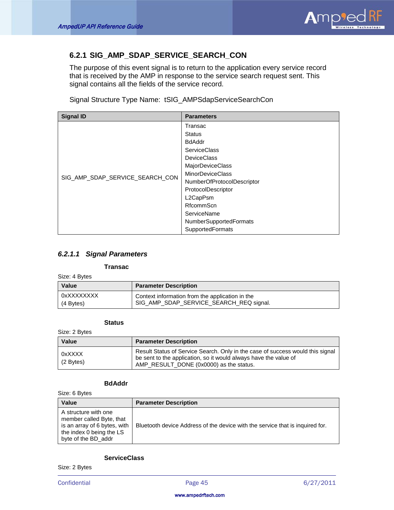

# <span id="page-45-0"></span>**6.2.1 SIG\_AMP\_SDAP\_SERVICE\_SEARCH\_CON**

The purpose of this event signal is to return to the application every service record that is received by the AMP in response to the service search request sent. This signal contains all the fields of the service record.

Signal Structure Type Name: tSIG\_AMPSdapServiceSearchCon

| <b>Signal ID</b>                | <b>Parameters</b>          |
|---------------------------------|----------------------------|
|                                 | Transac                    |
|                                 | <b>Status</b>              |
|                                 | <b>BdAddr</b>              |
|                                 | <b>ServiceClass</b>        |
|                                 | <b>DeviceClass</b>         |
|                                 | <b>MajorDeviceClass</b>    |
| SIG_AMP_SDAP_SERVICE_SEARCH_CON | <b>MinorDeviceClass</b>    |
|                                 | NumberOfProtocolDescriptor |
|                                 | ProtocolDescriptor         |
|                                 | L2CapPsm                   |
|                                 | RfcommScn                  |
|                                 | ServiceName                |
|                                 | NumberSupportedFormats     |
|                                 | <b>SupportedFormats</b>    |

## *6.2.1.1 Signal Parameters*

#### **Transac**

Size: 4 Bytes

| <b>Value</b> | <b>Parameter Description</b>                    |
|--------------|-------------------------------------------------|
| 0xXXXXXXXX   | Context information from the application in the |
| (4 Bytes)    | SIG_AMP_SDAP_SERVICE_SEARCH_REQ signal.         |

#### **Status**

Size: 2 Bytes

| Value                 | <b>Parameter Description</b>                                                                                                                                                                  |
|-----------------------|-----------------------------------------------------------------------------------------------------------------------------------------------------------------------------------------------|
| 0xXXXX<br>$(2$ Bytes) | Result Status of Service Search. Only in the case of success would this signal<br>be sent to the application, so it would always have the value of<br>AMP RESULT DONE (0x0000) as the status. |

# **BdAddr**

Size: 6 Bytes

| <b>Value</b>                                                                                                                        | <b>Parameter Description</b>                                                  |
|-------------------------------------------------------------------------------------------------------------------------------------|-------------------------------------------------------------------------------|
| A structure with one<br>member called Byte, that<br>is an array of 6 bytes, with<br>the index 0 being the LS<br>byte of the BD addr | Bluetooth device Address of the device with the service that is inquired for. |

# **ServiceClass**

Size: 2 Bytes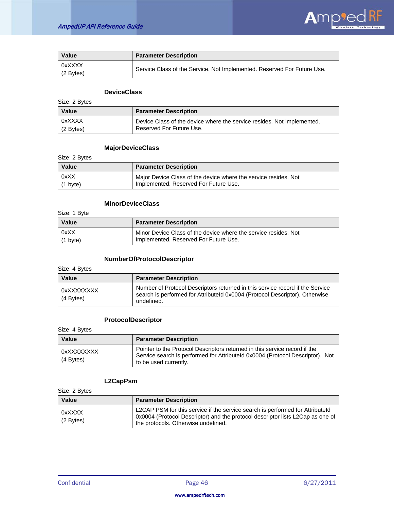

| Value                 | <b>Parameter Description</b>                                            |
|-----------------------|-------------------------------------------------------------------------|
| 0xXXXX<br>$(2$ Bytes) | Service Class of the Service. Not Implemented. Reserved For Future Use. |

## **DeviceClass**

Size: 2 Bytes

| <b>Value</b> | <b>Parameter Description</b>                                           |
|--------------|------------------------------------------------------------------------|
| 0xXXXX       | Device Class of the device where the service resides. Not Implemented. |
| $(2$ Bytes)  | Reserved For Future Use.                                               |

## **MajorDeviceClass**

Size: 2 Bytes

| <b>Value</b>       | <b>Parameter Description</b>                                    |
|--------------------|-----------------------------------------------------------------|
| 0xXX               | Major Device Class of the device where the service resides. Not |
| $(1 \text{ byte})$ | Implemented. Reserved For Future Use.                           |

# **MinorDeviceClass**

Size: 1 Byte

| Value              | <b>Parameter Description</b>                                    |
|--------------------|-----------------------------------------------------------------|
| 0xXX               | Minor Device Class of the device where the service resides. Not |
| $(1 \text{ byte})$ | Implemented. Reserved For Future Use.                           |

# **NumberOfProtocolDescriptor**

Size: 4 Bytes

| <b>Value</b>            | <b>Parameter Description</b>                                                                                                                                               |
|-------------------------|----------------------------------------------------------------------------------------------------------------------------------------------------------------------------|
| 0xXXXXXXXX<br>(4 Bytes) | Number of Protocol Descriptors returned in this service record if the Service<br>search is performed for AttributeId 0x0004 (Protocol Descriptor). Otherwise<br>undefined. |

### **ProtocolDescriptor**

Size: 4 Bytes

| Value                   | <b>Parameter Description</b>                                                                                                                                                         |
|-------------------------|--------------------------------------------------------------------------------------------------------------------------------------------------------------------------------------|
| 0xXXXXXXXX<br>(4 Bytes) | Pointer to the Protocol Descriptors returned in this service record if the<br>Service search is performed for Attributeld 0x0004 (Protocol Descriptor). Not<br>to be used currently. |

# **L2CapPsm**

Size: 2 Bytes

| <b>Value</b>          | <b>Parameter Description</b>                                                                                                                                                                           |
|-----------------------|--------------------------------------------------------------------------------------------------------------------------------------------------------------------------------------------------------|
| 0xXXXX<br>$(2$ Bytes) | L2CAP PSM for this service if the service search is performed for Attributeld<br>0x0004 (Protocol Descriptor) and the protocol descriptor lists L2Cap as one of<br>the protocols. Otherwise undefined. |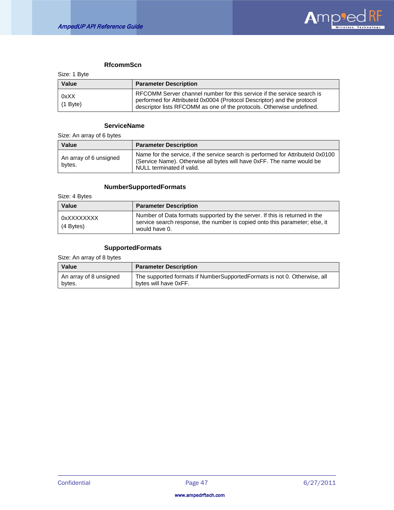

# **RfcommScn**

| <b>Value</b>       | <b>Parameter Description</b>                                                                                                                                                                                               |
|--------------------|----------------------------------------------------------------------------------------------------------------------------------------------------------------------------------------------------------------------------|
| 0xXX<br>$(1$ Byte) | RFCOMM Server channel number for this service if the service search is<br>performed for AttributeId 0x0004 (Protocol Descriptor) and the protocol<br>descriptor lists RFCOMM as one of the protocols. Otherwise undefined. |

# **ServiceName**

Size: An array of 6 bytes

| Value                            | <b>Parameter Description</b>                                                                                                                                                          |
|----------------------------------|---------------------------------------------------------------------------------------------------------------------------------------------------------------------------------------|
| An array of 6 unsigned<br>bytes. | Name for the service, if the service search is performed for Attributeld 0x0100<br>(Service Name). Otherwise all bytes will have 0xFF. The name would be<br>NULL terminated if valid. |

# **NumberSupportedFormats**

Size: 4 Bytes

| Value                     | <b>Parameter Description</b>                                                                                                                                               |
|---------------------------|----------------------------------------------------------------------------------------------------------------------------------------------------------------------------|
| 0xXXXXXXXX<br>$(4$ Bytes) | Number of Data formats supported by the server. If this is returned in the<br>service search response, the number is copied onto this parameter; else, it<br>would have 0. |

### **SupportedFormats**

Size: An array of 8 bytes

| <b>Value</b>           | <b>Parameter Description</b>                                             |
|------------------------|--------------------------------------------------------------------------|
| An array of 8 unsigned | The supported formats if NumberSupportedFormats is not 0. Otherwise, all |
| bytes.                 | bytes will have 0xFF.                                                    |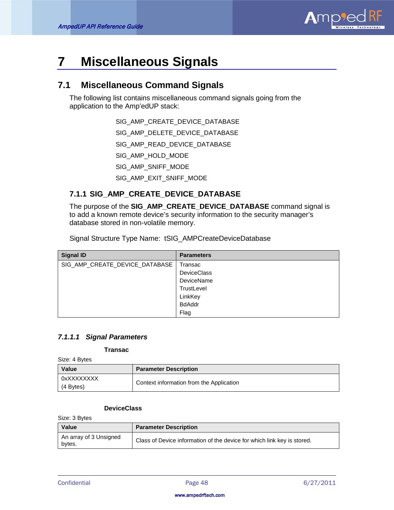

# <span id="page-48-0"></span>**7 Miscellaneous Signals**

# <span id="page-48-1"></span>**7.1 Miscellaneous Command Signals**

The following list contains miscellaneous command signals going from the application to the Amp'edUP stack:

SIG\_AMP\_CREATE\_DEVICE\_DATABASE

SIG\_AMP\_DELETE\_DEVICE\_DATABASE

SIG\_AMP\_READ\_DEVICE\_DATABASE

SIG\_AMP\_HOLD\_MODE

SIG\_AMP\_SNIFF\_MODE

SIG\_AMP\_EXIT\_SNIFF\_MODE

# <span id="page-48-2"></span>**7.1.1 SIG\_AMP\_CREATE\_DEVICE\_DATABASE**

The purpose of the **SIG\_AMP\_CREATE\_DEVICE\_DATABASE** command signal is to add a known remote device's security information to the security manager's database stored in non-volatile memory.

Signal Structure Type Name: tSIG\_AMPCreateDeviceDatabase

| <b>Signal ID</b>               | <b>Parameters</b>  |
|--------------------------------|--------------------|
| SIG_AMP_CREATE_DEVICE_DATABASE | Transac            |
|                                | <b>DeviceClass</b> |
|                                | DeviceName         |
|                                | TrustLevel         |
|                                | LinkKey            |
|                                | <b>BdAddr</b>      |
|                                | Flag               |

# *7.1.1.1 Signal Parameters*

### **Transac**

Size: 4 Bytes

| <b>Value</b>            | <b>Parameter Description</b>             |
|-------------------------|------------------------------------------|
| 0xXXXXXXXX<br>(4 Bytes) | Context information from the Application |

#### **DeviceClass**

Size: 3 Bytes

| Value                            | <b>Parameter Description</b>                                            |
|----------------------------------|-------------------------------------------------------------------------|
| An array of 3 Unsigned<br>bytes. | Class of Device information of the device for which link key is stored. |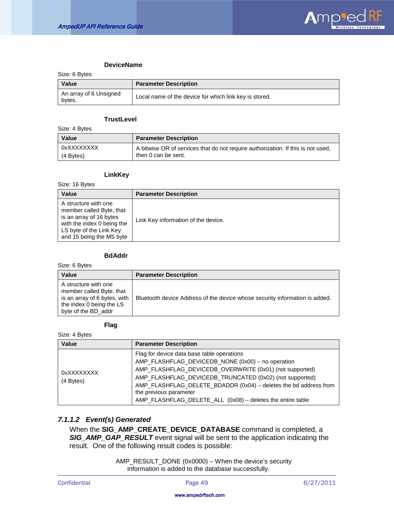

### **DeviceName**

| Size: 6 Bytes                    |                                                        |
|----------------------------------|--------------------------------------------------------|
| Value                            | <b>Parameter Description</b>                           |
| An array of 6 Unsigned<br>bytes. | Local name of the device for which link key is stored. |

#### **TrustLevel**

Size: 4 Bytes

| Value      | <b>Parameter Description</b>                                                     |
|------------|----------------------------------------------------------------------------------|
| 0xXXXXXXXX | A bitwise OR of services that do not require authorization. If this is not used, |
| (4 Bytes)  | then 0 can be sent.                                                              |

#### **LinkKey**

Size: 16 Bytes

| <b>Value</b>                                                                                                                                                     | <b>Parameter Description</b>        |
|------------------------------------------------------------------------------------------------------------------------------------------------------------------|-------------------------------------|
| A structure with one<br>member called Byte, that<br>is an array of 16 bytes<br>with the index 0 being the<br>LS byte of the Link Key<br>and 15 being the MS byte | Link Key information of the device. |

### **BdAddr**

Size: 6 Bytes

| <b>Value</b>                                                                                                                        | <b>Parameter Description</b>                                                |
|-------------------------------------------------------------------------------------------------------------------------------------|-----------------------------------------------------------------------------|
| A structure with one<br>member called Byte, that<br>is an array of 6 bytes, with<br>the index 0 being the LS<br>byte of the BD addr | Bluetooth device Address of the device whose security information is added. |

#### **Flag**

Size: 4 Bytes

| Value                   | <b>Parameter Description</b>                                                                                                                                                                                                                                                                                                                                                      |
|-------------------------|-----------------------------------------------------------------------------------------------------------------------------------------------------------------------------------------------------------------------------------------------------------------------------------------------------------------------------------------------------------------------------------|
| 0xXXXXXXXX<br>(4 Bytes) | Flag for device data base table operations<br>AMP_FLASHFLAG_DEVICEDB_NONE (0x00) - no operation<br>AMP_FLASHFLAG_DEVICEDB_OVERWRITE (0x01) (not supported)<br>AMP_FLASHFLAG_DEVICEDB_TRUNCATED (0x02) (not supported)<br>AMP_FLASHFLAG_DELETE_BDADDR (0x04) - deletes the bd address from<br>the previous parameter<br>AMP_FLASHFLAG_DELETE_ALL (0x08) - deletes the entire table |

## *7.1.1.2 Event(s) Generated*

When the **SIG\_AMP\_CREATE\_DEVICE\_DATABASE** command is completed, a *SIG\_AMP\_GAP\_RESULT* event signal will be sent to the application indicating the result. One of the following result codes is possible:

> AMP\_RESULT\_DONE (0x0000) – When the device's security information is added to the database successfully.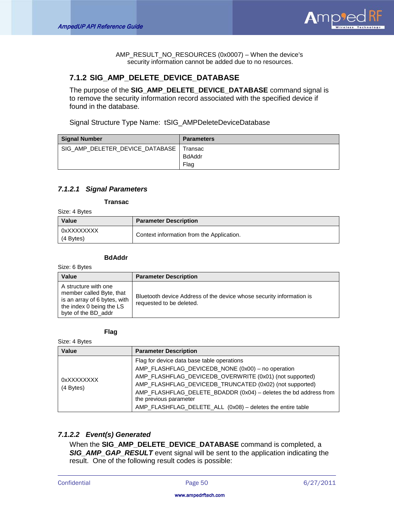

AMP\_RESULT\_NO\_RESOURCES (0x0007) – When the device's security information cannot be added due to no resources.

# <span id="page-50-0"></span>**7.1.2 SIG\_AMP\_DELETE\_DEVICE\_DATABASE**

The purpose of the **SIG\_AMP\_DELETE\_DEVICE\_DATABASE** command signal is to remove the security information record associated with the specified device if found in the database.

Signal Structure Type Name: tSIG\_AMPDeleteDeviceDatabase

| <b>Signal Number</b>                      | <b>Parameters</b> |
|-------------------------------------------|-------------------|
| SIG AMP DELETER DEVICE DATABASE   Transac |                   |
|                                           | <b>BdAddr</b>     |
|                                           | Flag              |

### *7.1.2.1 Signal Parameters*

**Transac**

Size: 4 Bytes

| <b>Value</b>              | <b>Parameter Description</b>              |
|---------------------------|-------------------------------------------|
| 0xXXXXXXXX<br>$(4$ Bytes) | Context information from the Application. |

#### **BdAddr**

Size: 6 Bytes

| Value                                                                                                                               | <b>Parameter Description</b>                                                                     |
|-------------------------------------------------------------------------------------------------------------------------------------|--------------------------------------------------------------------------------------------------|
| A structure with one<br>member called Byte, that<br>is an array of 6 bytes, with<br>the index 0 being the LS<br>byte of the BD_addr | Bluetooth device Address of the device whose security information is<br>requested to be deleted. |

**Flag**

Size: 4 Bytes

| Value                   | <b>Parameter Description</b>                                                                                                                                                                                                                                                                                                                                                      |
|-------------------------|-----------------------------------------------------------------------------------------------------------------------------------------------------------------------------------------------------------------------------------------------------------------------------------------------------------------------------------------------------------------------------------|
| 0xXXXXXXXX<br>(4 Bytes) | Flag for device data base table operations<br>AMP_FLASHFLAG_DEVICEDB_NONE (0x00) - no operation<br>AMP_FLASHFLAG_DEVICEDB_OVERWRITE (0x01) (not supported)<br>AMP_FLASHFLAG_DEVICEDB_TRUNCATED (0x02) (not supported)<br>AMP_FLASHFLAG_DELETE_BDADDR (0x04) - deletes the bd address from<br>the previous parameter<br>AMP_FLASHFLAG_DELETE_ALL (0x08) - deletes the entire table |

## *7.1.2.2 Event(s) Generated*

When the **SIG\_AMP\_DELETE\_DEVICE\_DATABASE** command is completed, a *SIG\_AMP\_GAP\_RESULT* event signal will be sent to the application indicating the result. One of the following result codes is possible: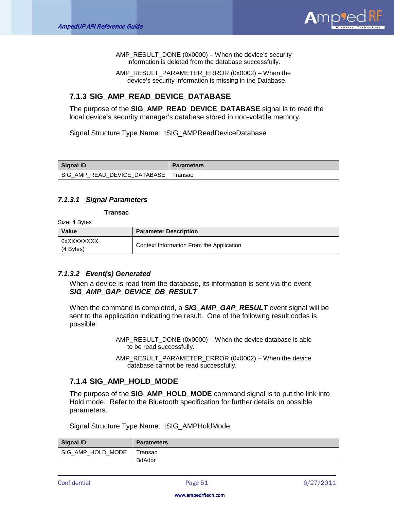

AMP\_RESULT\_DONE (0x0000) – When the device's security information is deleted from the database successfully.

AMP\_RESULT\_PARAMETER\_ERROR (0x0002) – When the device's security information is missing in the Database.

# <span id="page-51-0"></span>**7.1.3 SIG\_AMP\_READ\_DEVICE\_DATABASE**

The purpose of the **SIG\_AMP\_READ\_DEVICE\_DATABASE** signal is to read the local device's security manager's database stored in non-volatile memory.

Signal Structure Type Name: tSIG\_AMPReadDeviceDatabase

| Signal ID                     | <b>Parameters</b> |
|-------------------------------|-------------------|
| 'SIG AMP READ DEVICE DATABASE | Transac           |

## *7.1.3.1 Signal Parameters*

**Transac**

Size: 4 Bytes

| Value                     | <b>Parameter Description</b>             |
|---------------------------|------------------------------------------|
| 0xXXXXXXXX<br>$(4$ Bytes) | Context Information From the Application |

## *7.1.3.2 Event(s) Generated*

When a device is read from the database, its information is sent via the event *SIG\_AMP\_GAP\_DEVICE\_DB\_RESULT*.

When the command is completed, a *SIG\_AMP\_GAP\_RESULT* event signal will be sent to the application indicating the result. One of the following result codes is possible:

> AMP\_RESULT\_DONE (0x0000) – When the device database is able to be read successfully.

> AMP\_RESULT\_PARAMETER\_ERROR (0x0002) – When the device database cannot be read successfully.

# <span id="page-51-1"></span>**7.1.4 SIG\_AMP\_HOLD\_MODE**

The purpose of the **SIG\_AMP\_HOLD\_MODE** command signal is to put the link into Hold mode. Refer to the Bluetooth specification for further details on possible parameters.

Signal Structure Type Name: tSIG\_AMPHoldMode

| Signal ID         | <b>Parameters</b> |
|-------------------|-------------------|
| SIG_AMP_HOLD_MODE | Transac           |
|                   | <b>BdAddr</b>     |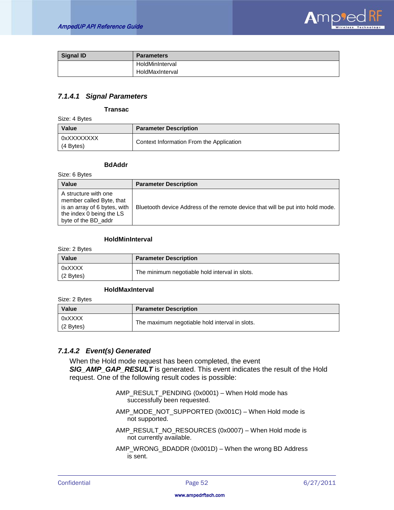

| <b>Signal ID</b> | <b>Parameters</b> |
|------------------|-------------------|
|                  | HoldMinInterval   |
|                  | HoldMaxInterval   |

## *7.1.4.1 Signal Parameters*

#### **Transac**

Size: 4 Bytes

| Value                       | <b>Parameter Description</b>             |
|-----------------------------|------------------------------------------|
| l oxxxxxxxxx<br>$(4$ Bytes) | Context Information From the Application |

#### **BdAddr**

Size: 6 Bytes

| <b>Value</b>                                                                                                                        | <b>Parameter Description</b>                                                   |
|-------------------------------------------------------------------------------------------------------------------------------------|--------------------------------------------------------------------------------|
| A structure with one<br>member called Byte, that<br>is an array of 6 bytes, with<br>the index 0 being the LS<br>byte of the BD_addr | Bluetooth device Address of the remote device that will be put into hold mode. |

# **HoldMinInterval**

Size: 2 Bytes

| <b>Value</b>          | <b>Parameter Description</b>                   |
|-----------------------|------------------------------------------------|
| 0xXXXX<br>$(2$ Bytes) | The minimum negotiable hold interval in slots. |

# **HoldMaxInterval**

Size: 2 Bytes

| Value                 | <b>Parameter Description</b>                   |
|-----------------------|------------------------------------------------|
| 0xXXXX<br>$(2$ Bytes) | The maximum negotiable hold interval in slots. |

## *7.1.4.2 Event(s) Generated*

When the Hold mode request has been completed, the event *SIG\_AMP\_GAP\_RESULT* is generated. This event indicates the result of the Hold request. One of the following result codes is possible:

- AMP\_RESULT\_PENDING (0x0001) When Hold mode has successfully been requested.
- AMP\_MODE\_NOT\_SUPPORTED (0x001C) When Hold mode is not supported.
- AMP\_RESULT\_NO\_RESOURCES (0x0007) When Hold mode is not currently available.
- AMP\_WRONG\_BDADDR (0x001D) When the wrong BD Address is sent.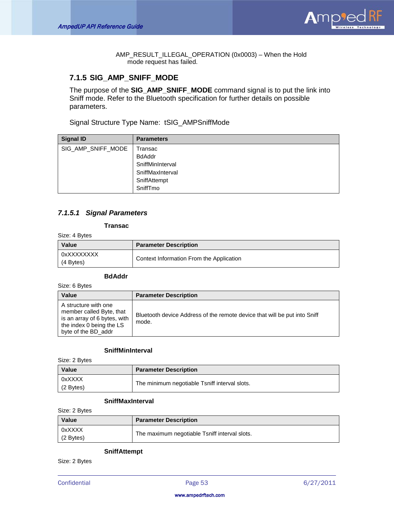

AMP\_RESULT\_ILLEGAL\_OPERATION (0x0003) – When the Hold mode request has failed.

# <span id="page-53-0"></span>**7.1.5 SIG\_AMP\_SNIFF\_MODE**

The purpose of the **SIG\_AMP\_SNIFF\_MODE** command signal is to put the link into Sniff mode. Refer to the Bluetooth specification for further details on possible parameters.

Signal Structure Type Name: tSIG\_AMPSniffMode

| <b>Signal ID</b>   | <b>Parameters</b> |
|--------------------|-------------------|
| SIG_AMP_SNIFF_MODE | Transac           |
|                    | <b>BdAddr</b>     |
|                    | SniffMinInterval  |
|                    | SniffMaxInterval  |
|                    | SniffAttempt      |
|                    | SniffTmo          |

# *7.1.5.1 Signal Parameters*

#### **Transac**

Size: 4 Bytes

| <b>Value</b>            | <b>Parameter Description</b>             |
|-------------------------|------------------------------------------|
| 0xXXXXXXXX<br>(4 Bytes) | Context Information From the Application |

# **BdAddr**

Size: 6 Bytes

| Value                                                                                                                               | <b>Parameter Description</b>                                                       |
|-------------------------------------------------------------------------------------------------------------------------------------|------------------------------------------------------------------------------------|
| A structure with one<br>member called Byte, that<br>is an array of 6 bytes, with<br>the index 0 being the LS<br>byte of the BD_addr | Bluetooth device Address of the remote device that will be put into Sniff<br>mode. |

#### **SniffMinInterval**

Size: 2 Bytes

| <b>Value</b>          | <b>Parameter Description</b>                  |
|-----------------------|-----------------------------------------------|
| 0xXXXX<br>$(2$ Bytes) | The minimum negotiable Tsniff interval slots. |

# **SniffMaxInterval**

Size: 2 Bytes

| Value                 | <b>Parameter Description</b>                  |
|-----------------------|-----------------------------------------------|
| 0xXXXX<br>$(2$ Bytes) | The maximum negotiable Tsniff interval slots. |

#### **SniffAttempt**

Size: 2 Bytes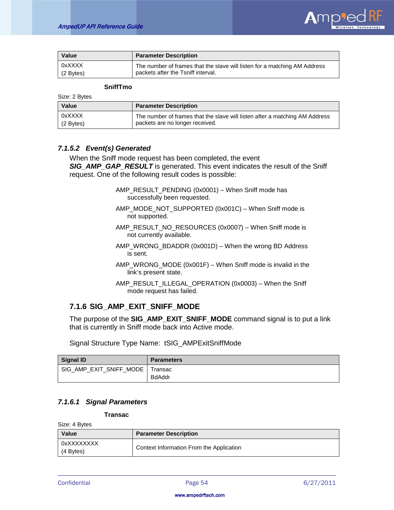

| Value       | <b>Parameter Description</b>                                              |
|-------------|---------------------------------------------------------------------------|
| 0xXXXX      | The number of frames that the slave will listen for a matching AM Address |
| $(2$ Bytes) | packets after the Tsniff interval.                                        |

#### **SniffTmo**

Size: 2 Bytes

| <b>Value</b> | <b>Parameter Description</b>                                                |
|--------------|-----------------------------------------------------------------------------|
| 0xXXXX       | The number of frames that the slave will listen after a matching AM Address |
| $(2$ Bytes)  | packets are no longer received.                                             |

# *7.1.5.2 Event(s) Generated*

When the Sniff mode request has been completed, the event *SIG\_AMP\_GAP\_RESULT* is generated. This event indicates the result of the Sniff request. One of the following result codes is possible:

- AMP\_RESULT\_PENDING (0x0001) When Sniff mode has successfully been requested.
- AMP\_MODE\_NOT\_SUPPORTED (0x001C) When Sniff mode is not supported.
- AMP\_RESULT\_NO\_RESOURCES (0x0007) When Sniff mode is not currently available.
- AMP\_WRONG\_BDADDR (0x001D) When the wrong BD Address is sent.
- AMP\_WRONG\_MODE (0x001F) When Sniff mode is invalid in the link's present state.
- AMP\_RESULT\_ILLEGAL\_OPERATION (0x0003) When the Sniff mode request has failed.

# <span id="page-54-0"></span>**7.1.6 SIG\_AMP\_EXIT\_SNIFF\_MODE**

The purpose of the **SIG\_AMP\_EXIT\_SNIFF\_MODE** command signal is to put a link that is currently in Sniff mode back into Active mode.

Signal Structure Type Name: tSIG\_AMPExitSniffMode

| Signal ID                         | <b>Parameters</b> |
|-----------------------------------|-------------------|
| SIG AMP EXIT SNIFF MODE   Transac |                   |
|                                   | <b>BdAddr</b>     |

# *7.1.6.1 Signal Parameters*

**Transac**

Size: 4 Bytes

| <b>Value</b>            | <b>Parameter Description</b>             |
|-------------------------|------------------------------------------|
| 0xXXXXXXXX<br>(4 Bytes) | Context Information From the Application |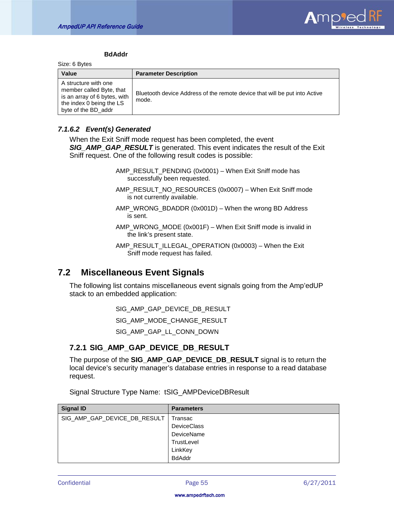

#### **BdAddr**

Size: 6 Bytes

| Value                                                                                                                               | <b>Parameter Description</b>                                                        |
|-------------------------------------------------------------------------------------------------------------------------------------|-------------------------------------------------------------------------------------|
| A structure with one<br>member called Byte, that<br>is an array of 6 bytes, with<br>the index 0 being the LS<br>byte of the BD addr | Bluetooth device Address of the remote device that will be put into Active<br>mode. |

### *7.1.6.2 Event(s) Generated*

When the Exit Sniff mode request has been completed, the event *SIG\_AMP\_GAP\_RESULT* is generated. This event indicates the result of the Exit Sniff request. One of the following result codes is possible:

> AMP\_RESULT\_PENDING (0x0001) – When Exit Sniff mode has successfully been requested.

AMP\_RESULT\_NO\_RESOURCES (0x0007) – When Exit Sniff mode is not currently available.

AMP\_WRONG\_BDADDR (0x001D) – When the wrong BD Address is sent.

AMP\_WRONG\_MODE (0x001F) – When Exit Sniff mode is invalid in the link's present state.

AMP\_RESULT\_ILLEGAL\_OPERATION (0x0003) – When the Exit Sniff mode request has failed.

# <span id="page-55-0"></span>**7.2 Miscellaneous Event Signals**

The following list contains miscellaneous event signals going from the Amp'edUP stack to an embedded application:

SIG\_AMP\_GAP\_DEVICE\_DB\_RESULT

SIG\_AMP\_MODE\_CHANGE\_RESULT

SIG\_AMP\_GAP\_LL\_CONN\_DOWN

# <span id="page-55-1"></span>**7.2.1 SIG\_AMP\_GAP\_DEVICE\_DB\_RESULT**

The purpose of the **SIG\_AMP\_GAP\_DEVICE\_DB\_RESULT** signal is to return the local device's security manager's database entries in response to a read database request.

Signal Structure Type Name: tSIG\_AMPDeviceDBResult

| <b>Signal ID</b>             | <b>Parameters</b>  |
|------------------------------|--------------------|
| SIG_AMP_GAP_DEVICE_DB_RESULT | Fransac            |
|                              | <b>DeviceClass</b> |
|                              | <b>DeviceName</b>  |
|                              | TrustLevel         |
|                              | LinkKey            |
|                              | <b>BdAddr</b>      |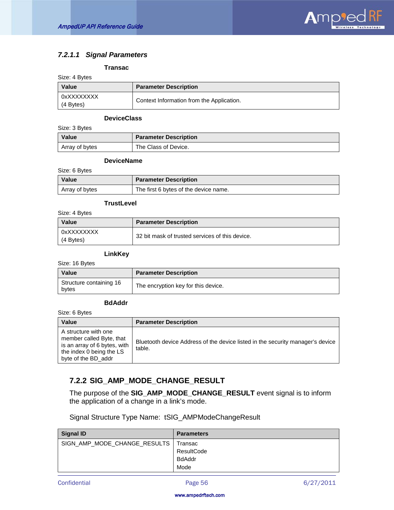

# *7.2.1.1 Signal Parameters*

## **Transac**

| Size: 4 Bytes           |                                           |
|-------------------------|-------------------------------------------|
| Value                   | <b>Parameter Description</b>              |
| 0xXXXXXXXX<br>(4 Bytes) | Context Information from the Application. |

## **DeviceClass**

Size: 3 Bytes

| Value          | <b>Parameter Description</b> |
|----------------|------------------------------|
| Array of bytes | The Class of Device.         |

## **DeviceName**

Size: 6 Bytes

| Value          | <b>Parameter Description</b>          |
|----------------|---------------------------------------|
| Array of bytes | The first 6 bytes of the device name. |

### **TrustLevel**

Size: 4 Bytes

| Value                     | <b>Parameter Description</b>                    |
|---------------------------|-------------------------------------------------|
| 0xXXXXXXXX<br>$(4$ Bytes) | 32 bit mask of trusted services of this device. |

# **LinkKey**

Size: 16 Bytes

| <b>Value</b>                     | <b>Parameter Description</b>        |
|----------------------------------|-------------------------------------|
| Structure containing 16<br>bytes | The encryption key for this device. |

### **BdAddr**

Size: 6 Bytes

| <b>Value</b>                                                                                                                        | <b>Parameter Description</b>                                                             |
|-------------------------------------------------------------------------------------------------------------------------------------|------------------------------------------------------------------------------------------|
| A structure with one<br>member called Byte, that<br>is an array of 6 bytes, with<br>the index 0 being the LS<br>byte of the BD addr | Bluetooth device Address of the device listed in the security manager's device<br>table. |

# <span id="page-56-0"></span>**7.2.2 SIG\_AMP\_MODE\_CHANGE\_RESULT**

The purpose of the **SIG\_AMP\_MODE\_CHANGE\_RESULT** event signal is to inform the application of a change in a link's mode.

|  |  | Signal Structure Type Name: tSIG_AMPModeChangeResult |  |
|--|--|------------------------------------------------------|--|
|  |  |                                                      |  |

| <b>Signal ID</b>             | <b>Parameters</b> |
|------------------------------|-------------------|
| SIGN_AMP_MODE_CHANGE_RESULTS | l Transac         |
|                              | ResultCode        |
|                              | <b>BdAddr</b>     |
|                              | Mode              |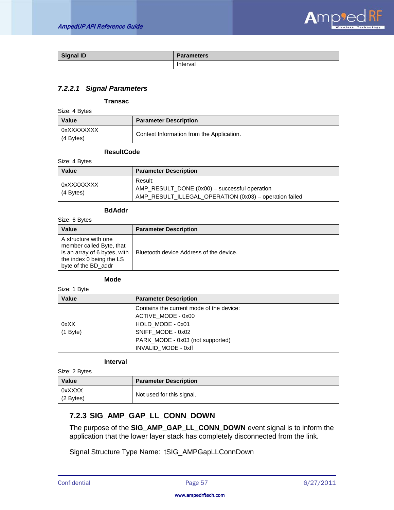

| <b>Signal ID</b> | <b>Parameters</b> |
|------------------|-------------------|
|                  | Interval          |

# *7.2.2.1 Signal Parameters*

#### **Transac**

Size: 4 Bytes

| <b>Value</b>              | <b>Parameter Description</b>              |
|---------------------------|-------------------------------------------|
| 0xXXXXXXXX<br>$(4$ Bytes) | Context Information from the Application. |

#### **ResultCode**

Size: 4 Bytes

| Value                     | <b>Parameter Description</b>                                                                                       |  |
|---------------------------|--------------------------------------------------------------------------------------------------------------------|--|
| 0xXXXXXXXX<br>$(4$ Bytes) | Result:<br>AMP_RESULT_DONE (0x00) - successful operation<br>AMP_RESULT_ILLEGAL_OPERATION (0x03) - operation failed |  |

### **BdAddr**

Size: 6 Bytes

| <b>Value</b>                                                                                                                        | <b>Parameter Description</b>            |
|-------------------------------------------------------------------------------------------------------------------------------------|-----------------------------------------|
| A structure with one<br>member called Byte, that<br>is an array of 6 bytes, with<br>the index 0 being the LS<br>byte of the BD addr | Bluetooth device Address of the device. |

#### **Mode**

Size: 1 Byte

| Value      | <b>Parameter Description</b>             |
|------------|------------------------------------------|
|            | Contains the current mode of the device: |
|            | ACTIVE MODE - 0x00                       |
| 0xXX       | HOLD MODE - 0x01                         |
| $(1$ Byte) | SNIFF_MODE - 0x02                        |
|            | PARK_MODE - 0x03 (not supported)         |
|            | INVALID MODE - 0xff                      |

#### **Interval**

Size: 2 Bytes

| <b>Value</b>        | <b>Parameter Description</b> |
|---------------------|------------------------------|
| 0xXXXX<br>(2 Bytes) | Not used for this signal.    |

# <span id="page-57-0"></span>**7.2.3 SIG\_AMP\_GAP\_LL\_CONN\_DOWN**

The purpose of the **SIG\_AMP\_GAP\_LL\_CONN\_DOWN** event signal is to inform the application that the lower layer stack has completely disconnected from the link.

Signal Structure Type Name: tSIG\_AMPGapLLConnDown